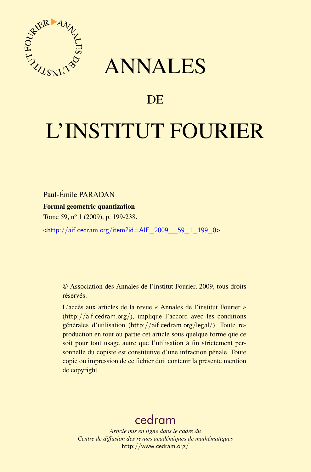

## ANNALES

### **DE**

# L'INSTITUT FOURIER

Paul-Émile PARADAN

#### Formal geometric quantization

Tome 59, n<sup>o</sup> 1 (2009), p. 199-238.

<[http://aif.cedram.org/item?id=AIF\\_2009\\_\\_59\\_1\\_199\\_0](http://aif.cedram.org/item?id=AIF_2009__59_1_199_0)>

© Association des Annales de l'institut Fourier, 2009, tous droits réservés.

L'accès aux articles de la revue « Annales de l'institut Fourier » (<http://aif.cedram.org/>), implique l'accord avec les conditions générales d'utilisation (<http://aif.cedram.org/legal/>). Toute reproduction en tout ou partie cet article sous quelque forme que ce soit pour tout usage autre que l'utilisation à fin strictement personnelle du copiste est constitutive d'une infraction pénale. Toute copie ou impression de ce fichier doit contenir la présente mention de copyright.

## [cedram](http://www.cedram.org/)

*Article mis en ligne dans le cadre du Centre de diffusion des revues académiques de mathématiques* <http://www.cedram.org/>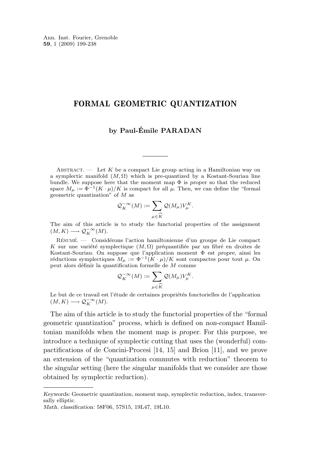#### FORMAL GEOMETRIC QUANTIZATION

#### **by Paul-Émile PARADAN**

ABSTRACT. — Let K be a compact Lie group acting in a Hamiltonian way on a symplectic manifold  $(M, \Omega)$  which is pre-quantized by a Kostant-Souriau line bundle. We suppose here that the moment map Φ is *proper* so that the reduced space  $M_{\mu} := \Phi^{-1}(K \cdot \mu)/K$  is compact for all  $\mu$ . Then, we can define the "formal geometric quantization" of  $M$  as

$$
\mathcal{Q}_K^{-\infty}(M) := \sum_{\mu \in \widehat{K}} \mathcal{Q}(M_{\mu}) V_{\mu}^K.
$$

The aim of this article is to study the functorial properties of the assignment  $(M, K) \longrightarrow \mathcal{Q}_K^{-\infty}(M).$ 

Résumé. — Considérons l'action hamiltonienne d'un groupe de Lie compact K sur une variété symplectique  $(M, \Omega)$  préquantifiée par un fibré en droites de Kostant-Souriau. On suppose que l'application moment Φ est *propre*, ainsi les réductions symplectiques  $M_{\mu} := \Phi^{-1}(K \cdot \mu)/K$  sont compactes pour tout  $\mu$ . On peut alors définir la quantification formelle de M comme

$$
\mathcal{Q}_K^{-\infty}(M) := \sum_{\mu \in \widehat{K}} \mathcal{Q}(M_{\mu}) V_{\mu}^K.
$$

 $\mu \in K$ Le but de ce travail est l'étude de certaines propriétés fonctorielles de l'application  $(M, K) \longrightarrow \mathcal{Q}_K^{-\infty}(M).$ 

The aim of this article is to study the functorial properties of the "formal geometric quantization" process, which is defined on *non-compact* Hamiltonian manifolds when the moment map is *proper*. For this purpose, we introduce a technique of symplectic cutting that uses the (wonderful) compactifications of de Concini-Procesi [\[14,](#page-39-0) [15\]](#page-39-0) and Brion [\[11\]](#page-39-0), and we prove an extension of the "quantization commutes with reduction" theorem to the *singular* setting (here the *singular* manifolds that we consider are those obtained by symplectic reduction).

*Keywords:* Geometric quantization, moment map, symplectic reduction, index, transversally elliptic.

*Math. classification:* 58F06, 57S15, 19L47, 19L10.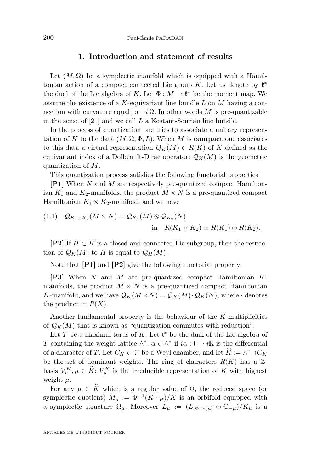#### **1. Introduction and statement of results**

Let  $(M, \Omega)$  be a symplectic manifold which is equipped with a Hamiltonian action of a compact connected Lie group K. Let us denote by  $\mathfrak{k}^*$ the dual of the Lie algebra of K. Let  $\Phi : M \to \mathfrak{k}^*$  be the moment map. We assume the existence of a  $K$ -equivariant line bundle  $L$  on  $M$  having a connection with curvature equal to  $-i\Omega$ . In other words M is pre-quantizable in the sense of [\[21\]](#page-39-0) and we call L a Kostant-Souriau line bundle.

In the process of quantization one tries to associate a unitary representation of K to the data  $(M, \Omega, \Phi, L)$ . When M is **compact** one associates to this data a virtual representation  $\mathcal{Q}_K(M) \in R(K)$  of K defined as the equivariant index of a Dolbeault-Dirac operator:  $\mathcal{Q}_K(M)$  is the geometric quantization of M.

This quantization process satisfies the following functorial properties:

**[P1]** When N and M are respectively pre-quantized compact Hamiltonian  $K_1$  and  $K_2$ -manifolds, the product  $M \times N$  is a pre-quantized compact Hamiltonian  $K_1 \times K_2$ -manifold, and we have

(1.1) 
$$
Q_{K_1 \times K_2}(M \times N) = Q_{K_1}(M) \otimes Q_{K_2}(N)
$$
  
in 
$$
R(K_1 \times K_2) \simeq R(K_1) \otimes R(K_2).
$$

**[P2]** If  $H \subset K$  is a closed and connected Lie subgroup, then the restriction of  $\mathcal{Q}_K(M)$  to H is equal to  $\mathcal{Q}_H(M)$ .

Note that **[P1]** and **[P2]** give the following functorial property:

**[P3]** When N and M are pre-quantized compact Hamiltonian Kmanifolds, the product  $M \times N$  is a pre-quantized compact Hamiltonian K-manifold, and we have  $\mathcal{Q}_K(M \times N) = \mathcal{Q}_K(M) \cdot \mathcal{Q}_K(N)$ , where  $\cdot$  denotes the product in  $R(K)$ .

Another fundamental property is the behaviour of the K-multiplicities of  $\mathcal{Q}_K(M)$  that is known as "quantization commutes with reduction".

Let T be a maximal torus of K. Let  $\mathfrak{t}^*$  be the dual of the Lie algebra of T containing the weight lattice  $\wedge^*$ :  $\alpha \in \wedge^*$  if  $i\alpha$ :  $\mathfrak{t} \to i\mathbb{R}$  is the differential of a character of T. Let  $C_K \subset \mathfrak{t}^*$  be a Weyl chamber, and let  $\widehat{K} := \wedge^* \cap C_K$ be the set of dominant weights. The ring of characters  $R(K)$  has a  $\mathbb{Z}$ basis  $V_{\mu}^{K}, \mu \in \hat{K}$ :  $V_{\mu}^{K}$  is the irreducible representation of K with highest weight  $\mu$ .

For any  $\mu \in \hat{K}$  which is a regular value of  $\Phi$ , the reduced space (or symplectic quotient)  $M_{\mu} := \Phi^{-1}(K \cdot \mu)/K$  is an orbifold equipped with a symplectic structure  $\Omega_{\mu}$ . Moreover  $L_{\mu} := (L|_{\Phi^{-1}(\mu)} \otimes \mathbb{C}_{-\mu})/K_{\mu}$  is a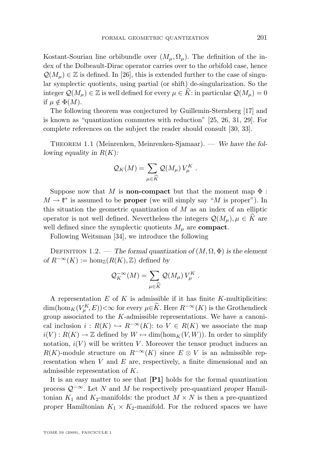<span id="page-3-0"></span>Kostant-Souriau line orbibundle over  $(M_\mu, \Omega_\mu)$ . The definition of the index of the Dolbeault-Dirac operator carries over to the orbifold case, hence  $\mathcal{Q}(M_\mu) \in \mathbb{Z}$  is defined. In [\[26\]](#page-39-0), this is extended further to the case of singular symplectic quotients, using partial (or shift) de-singularization. So the integer  $\mathcal{Q}(M_\mu) \in \mathbb{Z}$  is well defined for every  $\mu \in K$ : in particular  $\mathcal{Q}(M_\mu) = 0$ if  $\mu \notin \Phi(M)$ .

The following theorem was conjectured by Guillemin-Sternberg [\[17\]](#page-39-0) and is known as "quantization commutes with reduction" [\[25,](#page-39-0) [26,](#page-39-0) [31,](#page-39-0) [29\]](#page-39-0). For complete references on the subject the reader should consult [\[30,](#page-39-0) [33\]](#page-40-0).

THEOREM 1.1 (Meinrenken, Meinrenken-Sjamaar). — *We have the following equality in* R(K)*:*

$$
\mathcal{Q}_K(M) = \sum_{\mu \in \widehat{K}} \mathcal{Q}(M_{\mu}) V_{\mu}^K.
$$

Suppose now that M is **non-compact** but that the moment map  $\Phi$ :  $M \to \mathfrak{k}^*$  is assumed to be **proper** (we will simply say "M is proper"). In this situation the geometric quantization of  $M$  as an index of an elliptic operator is not well defined. Nevertheless the integers  $\mathcal{Q}(M_{\mu}), \mu \in \hat{K}$  are well defined since the symplectic quotients  $M_{\mu}$  are **compact**.

Following Weitsman [\[34\]](#page-40-0), we introduce the following

DEFINITION 1.2. — *The formal quantization of*  $(M, \Omega, \Phi)$  *is the element of*  $R^{-\infty}(K) := \hom_{\mathbb{Z}}(R(K), \mathbb{Z})$  *defined by* 

$$
\mathcal{Q}_K^{-\infty}(M) = \sum_{\mu \in \widehat{K}} \mathcal{Q}(M_{\mu}) V_{\mu}^K.
$$

A representation  $E$  of  $K$  is admissible if it has finite  $K$ -multiplicities:  $\dim(\text{hom}_K(V^K_\mu, E))<\infty$  for every  $\mu\in\hat{K}$ . Here  $R^{-\infty}(K)$  is the Grothendieck group associated to the K-admissible representations. We have a canonical inclusion  $i : R(K) \hookrightarrow R^{-\infty}(K)$ : to  $V \in R(K)$  we associate the map  $i(V): R(K) \to \mathbb{Z}$  defined by  $W \mapsto \dim(\hom_K(V, W))$ . In order to simplify notation,  $i(V)$  will be written V. Moreover the tensor product induces an  $R(K)$ -module structure on  $R^{-\infty}(K)$  since  $E \otimes V$  is an admissible representation when  $V$  and  $E$  are, respectively, a finite dimensional and an admissible representation of K.

It is an easy matter to see that **[P1]** holds for the formal quantization process Q−∞. Let N and M be respectively pre-quantized *proper* Hamiltonian  $K_1$  and  $K_2$ -manifolds: the product  $M \times N$  is then a pre-quantized *proper* Hamiltonian  $K_1 \times K_2$ -manifold. For the reduced spaces we have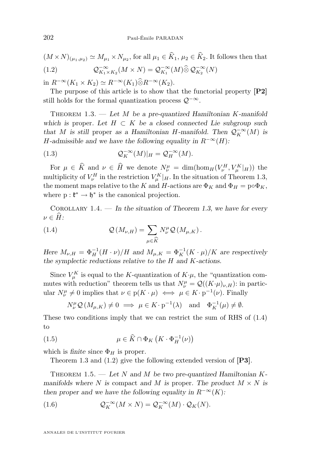<span id="page-4-0"></span> $(M \times N)_{(\mu_1, \mu_2)} \simeq M_{\mu_1} \times N_{\mu_2}$ , for all  $\mu_1 \in K_1$ ,  $\mu_2 \in K_2$ . It follows then that  $(1.2)$  $\overline{K}_{1\times K_2}^{\infty}(M\times N) = \mathcal{Q}_{K_1}^{-\infty}(M)\widehat{\otimes} \mathcal{Q}_{K_2}^{-\infty}(N)$ 

in  $R^{-\infty}(K_1 \times K_2) \simeq R^{-\infty}(K_1) \widehat{\otimes} R^{-\infty}(K_2)$ .

The purpose of this article is to show that the functorial property **[P2]** still holds for the formal quantization process  $\mathcal{Q}^{-\infty}$ .

Theorem 1.3. — *Let* M *be a pre-quantized Hamiltonian* K*-manifold which is* proper. Let  $H \subset K$  *be a closed connected Lie subgroup such that M is still* proper *as a Hamiltonian H*-manifold. Then  $Q_K^{-\infty}(M)$  *is* H-admissible and we have the following equality in  $R^{-\infty}(H)$ :

(1.3) 
$$
\mathcal{Q}_K^{-\infty}(M)|_H = \mathcal{Q}_H^{-\infty}(M).
$$

For  $\mu \in \hat{K}$  and  $\nu \in \hat{H}$  we denote  $N^{\mu}_{\nu} = \dim(\hom_H(V^H_{\nu}, V^K_{\mu}|_H))$  the multiplicity of  $V_{\nu}^H$  in the restriction  $V_{\mu}^K|_H$ . In the situation of Theorem 1.3, the moment maps relative to the K and H-actions are  $\Phi_K$  and  $\Phi_H = \rho \circ \Phi_K$ , where  $p: \mathfrak{k}^* \to \mathfrak{h}^*$  is the canonical projection.

Corollary 1.4. — *In the situation of Theorem 1.3, we have for every*  $\nu \in \widehat{H}$ :

(1.4) 
$$
\mathcal{Q}(M_{\nu,H}) = \sum_{\mu \in \widehat{K}} N_{\nu}^{\mu} \mathcal{Q}(M_{\mu,K}).
$$

*Here*  $M_{\nu,H} = \Phi_H^{-1}(H \cdot \nu)/H$  *and*  $M_{\mu,K} = \Phi_K^{-1}(K \cdot \mu)/K$  *are respectively the symplectic reductions relative to the* H *and* K*-actions.*

Since  $V_{\mu}^{K}$  is equal to the K-quantization of  $K \cdot \mu$ , the "quantization commutes with reduction" theorem tells us that  $N^{\mu}_{\nu} = \mathcal{Q}((K \cdot \mu)_{\nu,H})$ : in particular  $N^{\mu}_{\nu} \neq 0$  implies that  $\nu \in \mathrm{p}(K \cdot \mu) \iff \mu \in K \cdot \mathrm{p}^{-1}(\nu)$ . Finally

$$
N_{\nu}^{\mu} \mathcal{Q} (M_{\mu,K}) \neq 0 \implies \mu \in K \cdot \mathbf{p}^{-1}(\lambda) \quad \text{and} \quad \Phi_K^{-1}(\mu) \neq \emptyset.
$$

These two conditions imply that we can restrict the sum of RHS of (1.4) to

(1.5) 
$$
\mu \in \widehat{K} \cap \Phi_K \left( K \cdot \Phi_H^{-1}(\nu) \right)
$$

which is *finite* since  $\Phi_H$  is proper.

Theorem 1.3 and (1.2) give the following extended version of **[P3]**.

THEOREM 1.5. — Let N and M be two pre-quantized Hamiltonian K*manifolds where* N *is* compact and M *is* proper. The product  $M \times N$  *is then proper and we have the following equality in*  $R^{-\infty}(K)$ :

(1.6) 
$$
\mathcal{Q}_K^{-\infty}(M \times N) = \mathcal{Q}_K^{-\infty}(M) \cdot \mathcal{Q}_K(N).
$$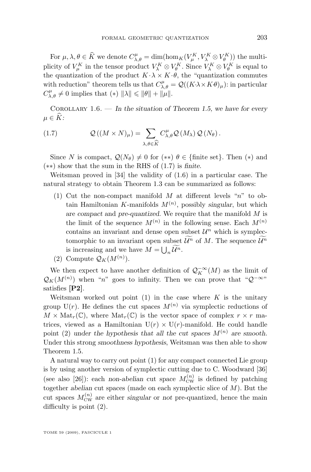For  $\mu, \lambda, \theta \in \widehat{K}$  we denote  $C_{\lambda, \theta}^{\mu} = \dim(\hom_K(V_K^K, V_{\lambda}^K \otimes V_{\theta}^K))$  the multiplicity of  $V_{\mu}^K$  in the tensor product  $V_{\lambda}^K \otimes V_{\theta}^K$ . Since  $V_{\lambda}^K \otimes V_{\theta}^K$  is equal to the quantization of the product  $K \cdot \lambda \times K \cdot \theta$ , the "quantization commutes with reduction" theorem tells us that  $C_{\lambda,\theta}^{\mu} = \mathcal{Q}((K\lambda \times K\theta)_{\mu})$ : in particular  $C_{\lambda,\theta}^{\mu} \neq 0$  implies that  $(*)$   $\|\lambda\| \leq \|\theta\| + \|\mu\|.$ 

Corollary 1.6. — *In the situation of Theorem [1.5,](#page-4-0) we have for every*  $\mu \in \widehat{K}$ :

(1.7) 
$$
\mathcal{Q}((M \times N)_{\mu}) = \sum_{\lambda,\theta \in \widehat{K}} C_{\lambda,\theta}^{\mu} \mathcal{Q}(M_{\lambda}) \mathcal{Q}(N_{\theta}).
$$

Since N is compact,  $\mathcal{Q}(N_{\theta}) \neq 0$  for  $(**)$   $\theta \in \{\text{finite set}\}\)$ . Then  $(*)$  and (∗∗) show that the sum in the RHS of (1.7) is *finite*.

Weitsman proved in [\[34\]](#page-40-0) the validity of [\(1.6\)](#page-4-0) in a particular case. The natural strategy to obtain Theorem [1.3](#page-4-0) can be summarized as follows:

- (1) Cut the non-compact manifold  $M$  at different levels "n" to obtain Hamiltonian K-manifolds  $M^{(n)}$ , possibly *singular*, but which are *compact* and *pre-quantized*. We require that the manifold M is the limit of the sequence  $M^{(n)}$  in the following sense. Each  $M^{(n)}$ contains an invariant and dense open subset  $\mathcal{U}^n$  which is symplectomorphic to an invariant open subset  $\widetilde{\mathcal{U}^n}$  of M. The sequence  $\widetilde{\mathcal{U}^n}$ is increasing and we have  $M = \bigcup_n \mathcal{U}^n$ .
- (2) Compute  $\mathcal{Q}_K(M^{(n)})$ .

We then expect to have another definition of  $\mathcal{Q}_K^{-\infty}(M)$  as the limit of  $\mathcal{Q}_K(M^{(n)})$  when "n" goes to infinity. Then we can prove that " $\mathcal{Q}^{-\infty}$ " satisfies **[P2]**.

Weitsman worked out point  $(1)$  in the case where K is the unitary group  $U(r)$ . He defines the cut spaces  $M^{(n)}$  via symplectic reductions of  $M \times \text{Mat}_r(\mathbb{C})$ , where  $\text{Mat}_r(\mathbb{C})$  is the vector space of complex  $r \times r$  matrices, viewed as a Hamiltonian  $U(r) \times U(r)$ -manifold. He could handle point (2) *under the hypothesis that all the cut spaces*  $M^{(n)}$  *are smooth.* Under this strong *smoothness hypothesis*, Weitsman was then able to show Theorem [1.5.](#page-4-0)

A natural way to carry out point (1) for any compact connected Lie group is by using another version of symplectic cutting due to C. Woodward [\[36\]](#page-40-0) (see also [\[26\]](#page-39-0)): each *non-abelian* cut space  $M_{\text{CW}}^{(n)}$  is defined by patching together *abelian* cut spaces (made on each symplectic slice of M). But the cut spaces  $M_{\text{CW}}^{(n)}$  are either *singular* or *not* pre-quantized, hence the main difficulty is point (2).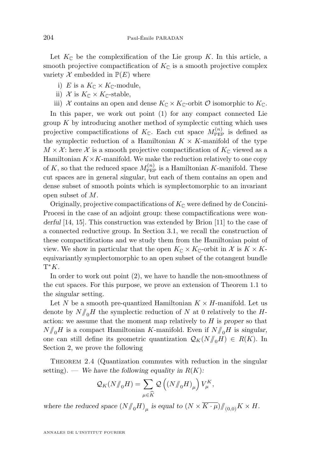Let  $K_{\mathbb{C}}$  be the complexification of the Lie group K. In this article, a smooth projective compactification of  $K_{\mathbb{C}}$  is a smooth projective complex variety  $\mathcal X$  embedded in  $\mathbb P(E)$  where

- i) E is a  $K_{\mathbb{C}} \times K_{\mathbb{C}}$ -module,
- ii) X is  $K_{\mathbb{C}} \times K_{\mathbb{C}}$ -stable,
- iii) X contains an open and dense  $K_{\mathbb{C}} \times K_{\mathbb{C}}$ -orbit  $\mathcal O$  isomorphic to  $K_{\mathbb{C}}$ .

In this paper, we work out point (1) for any compact connected Lie group  $K$  by introducing another method of symplectic cutting which uses projective compactifications of  $K_{\mathbb{C}}$ . Each cut space  $M_{\text{PEP}}^{(n)}$  is defined as the symplectic reduction of a Hamiltonian  $K \times K$ -manifold of the type  $M \times \mathcal{X}$ : here  $\mathcal X$  is a smooth projective compactification of  $K_{\mathbb{C}}$  viewed as a Hamiltonian  $K \times K$ -manifold. We make the reduction relatively to one copy of K, so that the reduced space  $M_{\text{PEP}}^{(n)}$  is a Hamiltonian K-manifold. These cut spaces are in general *singular*, but each of them contains an open and dense subset of smooth points which is symplectomorphic to an invariant open subset of M.

Originally, projective compactifications of  $K_{\mathbb{C}}$  were defined by de Concini-Procesi in the case of an adjoint group: these compactifications were *wonderful* [\[14,](#page-39-0) [15\]](#page-39-0). This construction was extended by Brion [\[11\]](#page-39-0) to the case of a connected reductive group. In Section [3.1,](#page-15-0) we recall the construction of these compactifications and we study them from the Hamiltonian point of view. We show in particular that the open  $K_{\mathbb{C}} \times K_{\mathbb{C}}$ -orbit in X is  $K \times K$ equivariantly symplectomorphic to an open subset of the cotangent bundle  $T^*K$ .

In order to work out point (2), we have to handle the non-smoothness of the cut spaces. For this purpose, we prove an extension of Theorem [1.1](#page-3-0) to the *singular* setting.

Let N be a smooth pre-quantized Hamiltonian  $K \times H$ -manifold. Let us denote by  $N/\!\!/_{\scriptscriptstyle\rm O} H$  the symplectic reduction of N at 0 relatively to the Haction: we assume that the moment map relatively to H is *proper* so that  $N/\!\!/_{0}H$  is a compact Hamiltonian K-manifold. Even if  $N/\!\!/_{0}H$  is *singular*, one can still define its geometric quantization  $\mathcal{Q}_K(N/\!\!/_{\!0}H) \in R(K)$ . In Section [2,](#page-7-0) we prove the following

THEOREM [2.4](#page-9-0) (Quantization commutes with reduction in the singular setting). — We have the following equality in  $R(K)$ :

$$
\mathcal{Q}_K(N/\!\!/_{0}H) = \sum_{\mu \in \widehat{K}} \mathcal{Q}\left(\left(N/\!\!/_{0}H\right)_\mu\right) V^K_{\mu},
$$

where the reduced space  $(N/\!\!/_{0}H)_{\mu}$  is equal to  $(N \times K \cdot \mu)/\!/_{(0,0)} K \times H$ .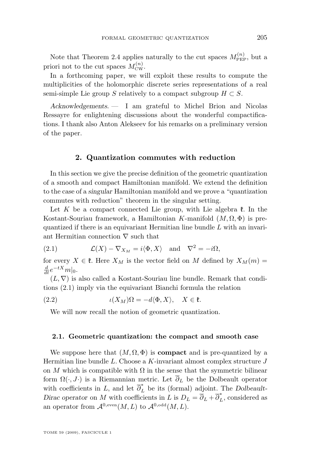<span id="page-7-0"></span>Note that Theorem [2.4](#page-9-0) applies naturally to the cut spaces  $M_{\text{PEP}}^{(n)}$ , but a priori not to the cut spaces  $M_{\text{CW}}^{(n)}$ .

In a forthcoming paper, we will exploit these results to compute the multiplicities of the holomorphic discrete series representations of a real semi-simple Lie group S relatively to a compact subgroup  $H \subset S$ .

*Acknowledgements. —* I am grateful to Michel Brion and Nicolas Ressayre for enlightening discussions about the wonderful compactifications. I thank also Anton Alekseev for his remarks on a preliminary version of the paper.

#### **2. Quantization commutes with reduction**

In this section we give the precise definition of the geometric quantization of a smooth and compact Hamiltonian manifold. We extend the definition to the case of a *singular* Hamiltonian manifold and we prove a "quantization commutes with reduction" theorem in the singular setting.

Let K be a compact connected Lie group, with Lie algebra  $\mathfrak{k}$ . In the Kostant-Souriau framework, a Hamiltonian K-manifold  $(M, \Omega, \Phi)$  is prequantized if there is an equivariant Hermitian line bundle L with an invariant Hermitian connection  $\nabla$  such that

(2.1) 
$$
\mathcal{L}(X) - \nabla_{X_M} = i \langle \Phi, X \rangle \text{ and } \nabla^2 = -i\Omega,
$$

for every  $X \in \mathfrak{k}$ . Here  $X_M$  is the vector field on M defined by  $X_M(m) =$  $\frac{d}{dt}e^{-tX}m|_0.$ 

 $(L, \nabla)$  is also called a Kostant-Souriau line bundle. Remark that conditions (2.1) imply via the equivariant Bianchi formula the relation

(2.2) 
$$
\iota(X_M)\Omega = -d\langle \Phi, X \rangle, \quad X \in \mathfrak{k}.
$$

We will now recall the notion of geometric quantization.

#### **2.1. Geometric quantization: the compact and smooth case**

We suppose here that  $(M, \Omega, \Phi)$  is **compact** and is pre-quantized by a Hermitian line bundle L. Choose a K-invariant almost complex structure  $J$ on M which is compatible with  $\Omega$  in the sense that the symmetric bilinear form  $\Omega(\cdot, J\cdot)$  is a Riemannian metric. Let  $\overline{\partial}_L$  be the Dolbeault operator with coefficients in L, and let  $\overline{\partial}_{L}^{*}$  be its (formal) adjoint. The *Dolbeault*-*Dirac operator* on M with coefficients in L is  $D_L = \overline{\partial}_L + \overline{\partial}_L^*$ , considered as an operator from  $\mathcal{A}^{0,\text{even}}(M,L)$  to  $\mathcal{A}^{0,\text{odd}}(M,L)$ .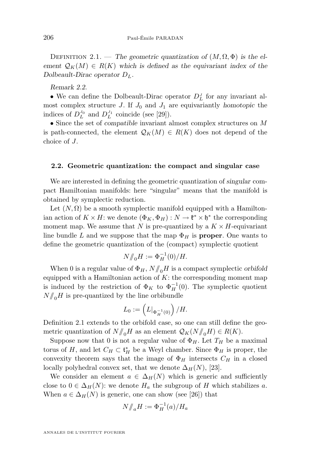<span id="page-8-0"></span>DEFINITION 2.1. — The geometric quantization of  $(M, \Omega, \Phi)$  is the element  $\mathcal{Q}_K(M) \in R(K)$  which is defined as the equivariant index of the *Dolbeault-Dirac operator* DL*.*

*Remark 2.2.*

• We can define the Dolbeault-Dirac operator  $D<sub>L</sub><sup>J</sup>$  for any invariant almost complex structure J. If  $J_0$  and  $J_1$  are equivariantly *homotopic* the indices of  $D_L^{J_0}$  and  $D_L^{J_1}$  coincide (see [\[29\]](#page-39-0)).

• Since the set of *compatible* invariant almost complex structures on M is path-connected, the element  $\mathcal{Q}_K(M) \in R(K)$  does not depend of the choice of J.

#### **2.2. Geometric quantization: the compact and singular case**

We are interested in defining the geometric quantization of *singular* compact Hamiltonian manifolds: here "singular" means that the manifold is obtained by symplectic reduction.

Let  $(N, \Omega)$  be a smooth symplectic manifold equipped with a Hamiltonian action of  $K \times H$ : we denote  $(\Phi_K, \Phi_H) : N \to \mathfrak{k}^* \times \mathfrak{h}^*$  the corresponding moment map. We assume that N is pre-quantized by a  $K \times H$ -equivariant line bundle L and we suppose that the map  $\Phi_H$  is **proper**. One wants to define the geometric quantization of the (compact) symplectic quotient

$$
N/\!\!/_{0}H := \Phi_H^{-1}(0)/H.
$$

When 0 is a regular value of  $\Phi_H$ ,  $N/\!\!/_{0}H$  is a compact symplectic *orbifold* equipped with a Hamiltonian action of  $K$ : the corresponding moment map is induced by the restriction of  $\Phi_K$  to  $\Phi_H^{-1}(0)$ . The symplectic quotient  $N/\!\!/_{0}H$  is pre-quantized by the line orbibundle

$$
L_0:=\left(L|_{\Phi_H^{-1}(0)}\right)/H.
$$

Definition [2.1](#page-7-0) extends to the orbifold case, so one can still define the geometric quantization of  $N/\!\!/_{0}H$  as an element  $\mathcal{Q}_K(N/\!\!/_{0}H) \in R(K)$ .

Suppose now that 0 is not a regular value of  $\Phi_H$ . Let  $T_H$  be a maximal torus of H, and let  $C_H \subset \mathfrak{t}_H^*$  be a Weyl chamber. Since  $\Phi_H$  is proper, the convexity theorem says that the image of  $\Phi_H$  intersects  $C_H$  in a closed locally polyhedral convex set, that we denote  $\Delta_H(N)$ , [\[23\]](#page-39-0).

We consider an element  $a \in \Delta_H(N)$  which is generic and sufficiently close to  $0 \in \Delta_H(N)$ : we denote  $H_a$  the subgroup of H which stabilizes a. When  $a \in \Delta_H(N)$  is generic, one can show (see [\[26\]](#page-39-0)) that

$$
N/\!\!/_{a}H:=\Phi_H^{-1}(a)/H_a
$$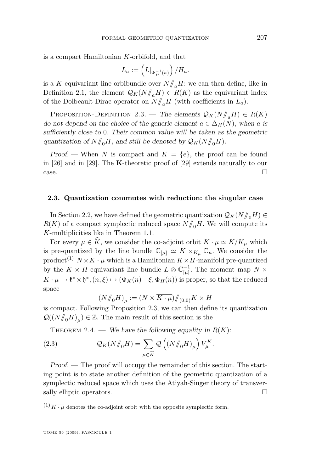<span id="page-9-0"></span>is a compact Hamiltonian K-orbifold, and that

$$
L_a := \left( L|_{\Phi_H^{-1}(a)} \right) / H_a.
$$

is a K-equivariant line orbibundle over  $N/\sqrt{aH}$ : we can then define, like in Definition [2.1,](#page-7-0) the element  $\mathcal{Q}_K(N/\mathcal{N}_aH) \in R(K)$  as the equivariant index of the Dolbeault-Dirac operator on  $N/\!\!/_{a}H$  (with coefficients in  $L_a$ ).

PROPOSITION-DEFINITION 2.3. — The elements  $\mathcal{Q}_K(N/\mathcal{M}_aH) \in R(K)$ *do not depend on the choice of the generic element*  $a \in \Delta_H(N)$ *, when* a *is sufficiently close to* 0*. Their common value will be taken as the geometric* quantization of  $N/\!\!/_{0}H$ , and still be denoted by  $\mathcal{Q}_K(N/\!\!/_{0}H)$ .

*Proof.* — When N is compact and  $K = \{e\}$ , the proof can be found in [\[26\]](#page-39-0) and in [\[29\]](#page-39-0). The K-theoretic proof of [\[29\]](#page-39-0) extends naturally to our  $\Box$ 

#### **2.3. Quantization commutes with reduction: the singular case**

In Section [2.2,](#page-8-0) we have defined the geometric quantization  $\mathcal{Q}_K(N/\mathcal{N}_0H) \in$  $R(K)$  of a compact symplectic reduced space  $N/\!\!/_{0}H$ . We will compute its K-multiplicities like in Theorem [1.1.](#page-3-0)

For every  $\mu \in \widehat{K}$ , we consider the co-adjoint orbit  $K \cdot \mu \simeq K/K_{\mu}$  which is pre-quantized by the line bundle  $\mathbb{C}_{[\mu]} \simeq K \times_{K_\mu} \mathbb{C}_{\mu}$ . We consider the product<sup>(1)</sup>  $N \times \overline{K \cdot \mu}$  which is a Hamiltonian  $K \times H$ -manifold pre-quantized by the  $K \times H$ -equivariant line bundle  $L \otimes \mathbb{C}_{[\mu]}^{-1}$ . The moment map  $N \times$  $\overline{K \cdot \mu} \to \mathfrak{k}^* \times \mathfrak{h}^*, (n, \xi) \mapsto (\Phi_K(n) - \xi, \Phi_H(n))$  is proper, so that the reduced space

$$
\left(N/\!\!/_{0}H\right)_{\mu}:=\left(N\times\overline{K\cdot\mu}\right)/\!\!/_{(0,0)}K\times H
$$

is compact. Following Proposition 2.3, we can then define its quantization  $\mathcal{Q}(\left(N/\!\!/_{\scriptscriptstyle O} H\right)_\mu)\in\mathbb{Z}.$  The main result of this section is the

THEOREM 2.4. — *We have the following equality in*  $R(K)$ :

(2.3) 
$$
\mathcal{Q}_K(N/\!\!/_{0}H) = \sum_{\mu \in \widehat{K}} \mathcal{Q}\left((N/\!\!/_{0}H)_{\mu}\right) V_{\mu}^K.
$$

*Proof.* — The proof will occupy the remainder of this section. The starting point is to state another definition of the geometric quantization of a symplectic reduced space which uses the Atiyah-Singer theory of transversally elliptic operators.  $\Box$ 

 $^{(1)}\overline{K\cdot \mu}$  denotes the co-adjoint orbit with the opposite symplectic form.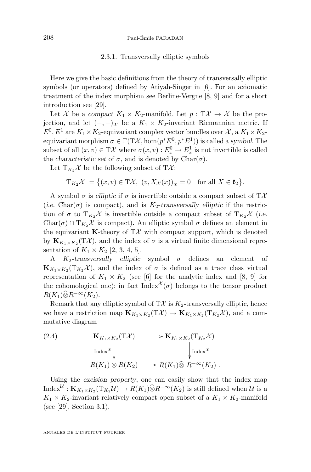#### 2.3.1. Transversally elliptic symbols

Here we give the basic definitions from the theory of transversally elliptic symbols (or operators) defined by Atiyah-Singer in [\[6\]](#page-38-0). For an axiomatic treatment of the index morphism see Berline-Vergne [\[8,](#page-38-0) [9\]](#page-38-0) and for a short introduction see [\[29\]](#page-39-0).

Let X be a *compact*  $K_1 \times K_2$ -manifold. Let  $p : T\mathcal{X} \to \mathcal{X}$  be the projection, and let  $(-,-)_\mathcal{X}$  be a  $K_1 \times K_2$ -invariant Riemannian metric. If  $E^0, E^1$  are  $K_1 \times K_2$ -equivariant complex vector bundles over  $\mathcal{X}$ , a  $K_1 \times K_2$ equivariant morphism  $\sigma \in \Gamma(T\mathcal{X}, \text{hom}(p^*E^0, p^*E^1))$  is called a *symbol*. The subset of all  $(x, v) \in T\mathcal{X}$  where  $\sigma(x, v) : E_x^0 \to E_x^1$  is not invertible is called the *characteristic set* of  $\sigma$ , and is denoted by Char $(\sigma)$ .

Let  $T_{K_2}\mathcal{X}$  be the following subset of  $T\mathcal{X}$ :

$$
\mathrm{T}_{K_2}\mathcal{X} = \{(x,v) \in \mathrm{T}\mathcal{X}, \ (v,X_{\mathcal{X}}(x))_{\mathcal{X}} = 0 \text{ for all } X \in \mathfrak{k}_2\}.
$$

A symbol  $\sigma$  is *elliptic* if  $\sigma$  is invertible outside a compact subset of  $T\mathcal{X}$ (*i.e.* Char( $\sigma$ ) is compact), and is K<sub>2</sub>-transversally elliptic if the restriction of  $\sigma$  to  $T_{K_2} \mathcal{X}$  is invertible outside a compact subset of  $T_{K_2} \mathcal{X}$  (*i.e.* Char( $\sigma$ ) ∩ T<sub>K2</sub>X is compact). An elliptic symbol  $\sigma$  defines an element in the equivariant **K**-theory of  $T\mathcal{X}$  with compact support, which is denoted by  $\mathbf{K}_{K_1 \times K_2}(\mathrm{T}\mathcal{X})$ , and the index of  $\sigma$  is a virtual finite dimensional representation of  $K_1 \times K_2$  [\[2,](#page-38-0) [3,](#page-38-0) [4,](#page-38-0) [5\]](#page-38-0).

A  $K_2$ -transversally elliptic symbol  $\sigma$  defines an element of  $\mathbf{K}_{K_1\times K_2}(\mathrm{T}_{K_2} \mathcal{X})$ , and the index of  $\sigma$  is defined as a trace class virtual representation of  $K_1 \times K_2$  (see [\[6\]](#page-38-0) for the analytic index and [\[8,](#page-38-0) [9\]](#page-38-0) for the cohomological one): in fact Index<sup> $\chi$ </sup>( $\sigma$ ) belongs to the tensor product  $R(K_1)\widehat{\otimes}R^{-\infty}(K_2).$ 

Remark that any elliptic symbol of  $T\mathcal{X}$  is  $K_2$ -transversally elliptic, hence we have a restriction map  $\mathbf{K}_{K_1\times K_2}(\mathrm{T}\mathcal{X}) \to \mathbf{K}_{K_1\times K_2}(\mathrm{T}_{K_2}\mathcal{X})$ , and a commutative diagram

(2.4) 
$$
\mathbf{K}_{K_1 \times K_2}(\mathrm{T}\mathcal{X}) \longrightarrow \mathbf{K}_{K_1 \times K_2}(\mathrm{T}_{K_2}\mathcal{X})
$$

$$
\operatorname{Index}^{\mathcal{X}} \downarrow \qquad \qquad \downarrow \operatorname{Index}^{\mathcal{X}}
$$

$$
R(K_1) \otimes R(K_2) \longrightarrow R(K_1) \widehat{\otimes} R^{-\infty}(K_2) .
$$

Using the *excision property*, one can easily show that the index map Index<sup>U</sup>:  $\mathbf{K}_{K_1 \times K_2}(\mathrm{T}_{K_2}U) \to R(K_1) \widehat{\otimes} R^{-\infty}(K_2)$  is still defined when U is a  $K_1 \times K_2$ -invariant relatively compact open subset of a  $K_1 \times K_2$ -manifold (see [\[29\]](#page-39-0), Section 3.1).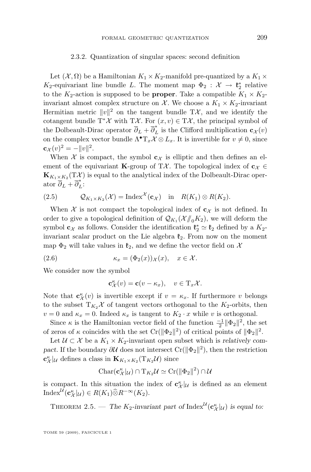#### 2.3.2. Quantization of singular spaces: second definition

<span id="page-11-0"></span>Let  $(X, \Omega)$  be a Hamiltonian  $K_1 \times K_2$ -manifold pre-quantized by a  $K_1 \times$  $K_2$ -equivariant line bundle L. The moment map  $\Phi_2$ :  $\mathcal{X} \to \mathfrak{k}_2^*$  relative to the  $K_2$ -action is supposed to be **proper**. Take a compatible  $K_1 \times K_2$ invariant almost complex structure on X. We choose a  $K_1 \times K_2$ -invariant Hermitian metric  $||v||^2$  on the tangent bundle TX, and we identify the cotangent bundle T<sup>\*</sup> $\mathcal X$  with T $\mathcal X$ . For  $(x, v) \in T\mathcal X$ , the principal symbol of the Dolbeault-Dirac operator  $\overline{\partial}_L + \overline{\partial}^*_L$  is the Clifford multiplication  $\mathbf{c}_{\mathcal{X}}(v)$ on the complex vector bundle  $\Lambda^{\bullet} T_x \mathcal{X} \otimes L_x$ . It is invertible for  $v \neq 0$ , since  $\mathbf{c}_{\mathcal{X}}(v)^2 = -||v||^2.$ 

When X is compact, the symbol  $c_X$  is elliptic and then defines an element of the equivariant **K**-group of TX. The topological index of  $c_{\mathcal{X}} \in$  $\mathbf{K}_{K_1\times K_2}(\mathrm{T}\mathcal{X})$  is equal to the analytical index of the Dolbeault-Dirac operator  $\overline{\partial}_L + \overline{\partial}_L^*$ :

(2.5) 
$$
Q_{K_1 \times K_2}(\mathcal{X}) = \text{Index}^{\mathcal{X}}(c_{\mathcal{X}}) \text{ in } R(K_1) \otimes R(K_2).
$$

When X is not compact the topological index of  $c_X$  is not defined. In order to give a topological definition of  $\mathcal{Q}_{K_1}(\mathcal{X}/_{0}K_2)$ , we will deform the symbol  $\mathbf{c}^{\chi}$  as follows. Consider the identification  $\mathfrak{k}_2^* \simeq \mathfrak{k}_2$  defined by a  $K_2$ invariant scalar product on the Lie algebra  $\mathfrak{k}_2$ . From now on the moment map  $\Phi_2$  will take values in  $\mathfrak{k}_2$ , and we define the vector field on X

(2.6) 
$$
\kappa_x = (\Phi_2(x))_{\mathcal{X}}(x), \quad x \in \mathcal{X}.
$$

We consider now the symbol

$$
\mathbf{c}^{\kappa}_{\mathcal{X}}(v) = \mathbf{c}(v - \kappa_x), \quad v \in \mathrm{T}_x \mathcal{X}.
$$

Note that  $\mathbf{c}^{\kappa}_{\mathcal{X}}(v)$  is invertible except if  $v = \kappa_x$ . If furthermore v belongs to the subset  $T_{K_2}\mathcal{X}$  of tangent vectors orthogonal to the  $K_2$ -orbits, then  $v = 0$  and  $\kappa_x = 0$ . Indeed  $\kappa_x$  is tangent to  $K_2 \cdot x$  while v is orthogonal.

Since  $\kappa$  is the Hamiltonian vector field of the function  $\frac{-1}{2} \|\Phi_2\|^2$ , the set of zeros of  $\kappa$  coincides with the set  $Cr(\|\Phi_2\|^2)$  of critical points of  $\|\Phi_2\|^2$ .

Let  $\mathcal{U} \subset \mathcal{X}$  be a  $K_1 \times K_2$ -invariant open subset which is *relatively compact*. If the boundary  $\partial U$  does not intersect Cr( $\|\Phi_2\|^2$ ), then the restriction  $\mathbf{c}^{\kappa}_{\mathcal{X}}|_{\mathcal{U}}$  defines a class in  $\mathbf{K}_{K_1 \times K_2}(\mathrm{T}_{K_2} \mathcal{U})$  since

$$
\text{Char}(\mathbf{c}_{\mathcal{X}}^{\kappa} |_{\mathcal{U}}) \cap T_{K_2} \mathcal{U} \simeq \text{Cr}(\|\Phi_2\|^2) \cap \mathcal{U}
$$

is compact. In this situation the index of  $\mathbf{c}^{\kappa}_{\mathcal{X}}|_{\mathcal{U}}$  is defined as an element Index<sup>U</sup> $(\mathbf{c}_{\mathcal{X}}^{\kappa} |_{\mathcal{U}}) \in R(K_1) \widehat{\otimes} R^{-\infty}(K_2).$ 

THEOREM 2.5. — *The*  $K_2$ -invariant part of Index<sup>U</sup>( $\mathbf{c}_{\mathcal{X}}^{\kappa} |_{\mathcal{U}}$ ) is equal to: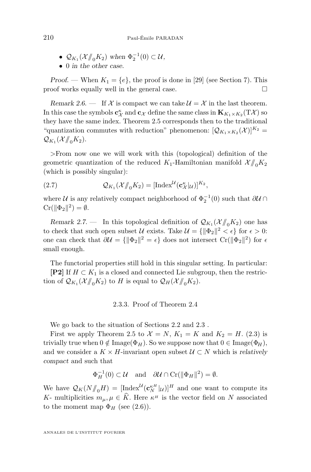- $\mathcal{Q}_{K_1}(\mathcal{X}/\!\!/_{0} K_2)$  when  $\Phi_2^{-1}(0) \subset \mathcal{U}$ ,
- 0 *in the other case.*

*Proof.* — When  $K_1 = \{e\}$ , the proof is done in [\[29\]](#page-39-0) (see Section 7). This proof works equally well in the general case.  $\Box$ 

*Remark 2.6.* — If X is compact we can take  $\mathcal{U} = \mathcal{X}$  in the last theorem. In this case the symbols  $\mathbf{c}^{\kappa}_\mathcal{X}$  and  $\mathbf{c}_\mathcal{X}$  define the same class in  $\mathbf{K}_{K_1\times K_2}(\mathrm{T}\mathcal{X})$  so they have the same index. Theorem [2.5](#page-11-0) corresponds then to the traditional "quantization commutes with reduction" phenomenon:  $[Q_{K_1 \times K_2}(\mathcal{X})]^{K_2} =$  $\mathcal{Q}_{K_1}(\mathcal{X}/\!\!/_{0} K_2).$ 

>From now one we will work with this (topological) definition of the geometric quantization of the reduced  $K_1$ -Hamiltonian manifold  $\mathcal{X}/\!\!/_{0}K_2$ (which is possibly singular):

(2.7) 
$$
\mathcal{Q}_{K_1}(\mathcal{X}/\!\!/_{0} K_2) = [\text{Index}^{\mathcal{U}}(\mathbf{c}^{\kappa}_{\mathcal{X}}|_{\mathcal{U}})]^{K_2},
$$

where  $\mathcal U$  is any relatively compact neighborhood of  $\Phi_2^{-1}(0)$  such that  $\partial \mathcal U \cap$  $\mathrm{Cr}(\|\Phi_2\|^2) = \emptyset.$ 

*Remark 2.7.* – In this topological definition of  $\mathcal{Q}_{K_1}(\mathcal{X}/\!\!/_{0} K_2)$  one has to check that such open subset  $\mathcal U$  exists. Take  $\mathcal U = \{\|\Phi_2\|^2 < \epsilon\}$  for  $\epsilon > 0$ : one can check that  $\partial \mathcal{U} = \{ ||\Phi_2||^2 = \epsilon \}$  does not intersect Cr( $||\Phi_2||^2$ ) for  $\epsilon$ small enough.

The functorial properties still hold in this singular setting. In particular: **[P2]** If  $H \subset K_1$  is a closed and connected Lie subgroup, then the restriction of  $\mathcal{Q}_{K_1}(\mathcal{X}/\!\!/_{0} K_2)$  to H is equal to  $\mathcal{Q}_H(\mathcal{X}/\!\!/_{0} K_2)$ .

#### 2.3.3. Proof of Theorem [2.4](#page-9-0)

We go back to the situation of Sections [2.2](#page-8-0) and [2.3](#page-9-0) .

First we apply Theorem [2.5](#page-11-0) to  $\mathcal{X} = N$ ,  $K_1 = K$  and  $K_2 = H$ . [\(2.3\)](#page-9-0) is trivially true when  $0 \notin \text{Image}(\Phi_H)$ . So we suppose now that  $0 \in \text{Image}(\Phi_H)$ , and we consider a  $K \times H$ -invariant open subset  $\mathcal{U} \subset N$  which is *relatively compact* and such that

$$
\Phi_H^{-1}(0) \subset \mathcal{U} \quad \text{and} \quad \partial \mathcal{U} \cap \text{Cr}(\|\Phi_H\|^2) = \emptyset.
$$

We have  $\mathcal{Q}_K(N/\!\!/_{\!0}H) = [\text{Index}^{\mathcal{U}}(\mathbf{c}_N^{\kappa H}|\mathcal{U})]^H$  and one want to compute its K- multiplicities  $m_{\mu}, \mu \in \widehat{K}$ . Here  $\kappa^{\mu}$  is the vector field on N associated to the moment map  $\Phi_H$  (see [\(2.6\)](#page-11-0)).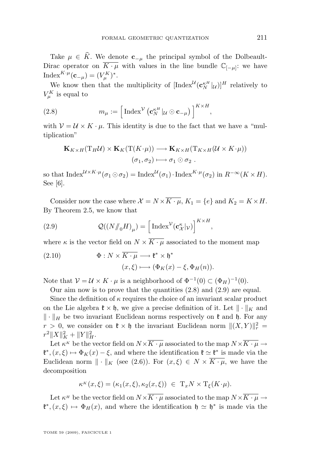<span id="page-13-0"></span>Take  $\mu \in \hat{K}$ . We denote  $c_{-\mu}$  the principal symbol of the Dolbeault-Dirac operator on  $\overline{K \cdot \mu}$  with values in the line bundle  $\mathbb{C}_{[-\mu]}$ : we have Index<sup>K· $\mu$ </sup>(**c**<sub>- $\mu$ </sub>) = ( $V_{\mu}^{K}$ )<sup>\*</sup>.

We know then that the multiplicity of  $[\text{Index}^{\mathcal{U}}(\mathbf{c}_N^{\kappa H}|\mathcal{U})]^H$  relatively to  $V_{\mu}^{K}$  is equal to

(2.8) 
$$
m_{\mu} := \left[ \text{Index}^{\mathcal{V}} \left( \mathbf{c}_{N}^{\kappa H} | u \odot \mathbf{c}_{-\mu} \right) \right]^{K \times H},
$$

with  $V = U \times K \cdot \mu$ . This identity is due to the fact that we have a "multiplication"

$$
\mathbf{K}_{K \times H}(\mathrm{T}_H \mathcal{U}) \times \mathbf{K}_K(\mathrm{T}(K \cdot \mu)) \longrightarrow \mathbf{K}_{K \times H}(\mathrm{T}_{K \times H}(\mathcal{U} \times K \cdot \mu))
$$

$$
(\sigma_1, \sigma_2) \longmapsto \sigma_1 \odot \sigma_2 .
$$

so that  ${\rm Index}^{\mathcal{U} \times K \cdot \mu}(\sigma_1 \odot \sigma_2) = {\rm Index}^{\mathcal{U}}(\sigma_1) \cdot {\rm Index}^{K \cdot \mu}(\sigma_2)$  in  $R^{-\infty}(K \times H)$ . See [\[6\]](#page-38-0).

Consider now the case where  $\mathcal{X} = N \times \overline{K \cdot \mu}$ ,  $K_1 = \{e\}$  and  $K_2 = K \times H$ . By Theorem [2.5,](#page-11-0) we know that

(2.9) 
$$
\mathcal{Q}((N/\!\!/_{0}H)_{\mu}) = \left[\text{Index}^{\mathcal{V}}(\mathbf{c}_{\mathcal{X}}^{\kappa}|\mathcal{V})\right]^{K \times H},
$$

where  $\kappa$  is the vector field on  $N \times \overline{K \cdot \mu}$  associated to the moment map

(2.10) 
$$
\Phi: N \times \overline{K \cdot \mu} \longrightarrow \mathfrak{k}^* \times \mathfrak{h}^* (x, \xi) \longmapsto (\Phi_K(x) - \xi, \Phi_H(n)).
$$

Note that  $V = U \times K \cdot \mu$  is a neighborhood of  $\Phi^{-1}(0) \subset (\Phi_H)^{-1}(0)$ .

Our aim now is to prove that the quantities  $(2.8)$  and  $(2.9)$  are equal.

Since the definition of  $\kappa$  requires the choice of an invariant scalar product on the Lie algebra  $\mathfrak{k} \times \mathfrak{h}$ , we give a precise definition of it. Let  $\|\cdot\|_K$  and  $\|\cdot\|_H$  be two invariant Euclidean norms respectively on  $\mathfrak k$  and  $\mathfrak h$ . For any  $r > 0$ , we consider on  $\mathfrak{k} \times \mathfrak{h}$  the invariant Euclidean norm  $\|(X,Y)\|_{r}^{2} =$  $r^2 \|X\|_K^2 + \|Y\|_H^2.$ 

Let  $\kappa^K$  be the vector field on  $N \times \overline{K \cdot \mu}$  associated to the map  $N \times \overline{K \cdot \mu} \rightarrow$  $\mathfrak{k}^*, (x, \xi) \mapsto \Phi_K(x) - \xi$ , and where the identification  $\mathfrak{k} \simeq \mathfrak{k}^*$  is made via the Euclidean norm  $\|\cdot\|_K$  (see [\(2.6\)](#page-11-0)). For  $(x,\xi) \in N \times \overline{K \cdot \mu}$ , we have the decomposition

$$
\kappa^{K}(x,\xi) = (\kappa_1(x,\xi), \kappa_2(x,\xi)) \in T_x N \times T_{\xi}(K \cdot \mu).
$$

Let  $\kappa^H$  be the vector field on  $N \times \overline{K \cdot \mu}$  associated to the map  $N \times \overline{K \cdot \mu} \rightarrow$  $\mathfrak{k}^*, (x, \xi) \mapsto \Phi_H(x)$ , and where the identification  $\mathfrak{h} \simeq \mathfrak{h}^*$  is made via the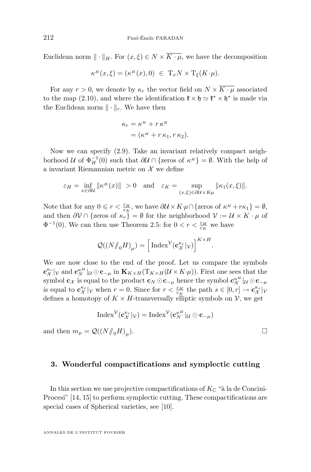Euclidean norm  $\|\cdot\|_H$ . For  $(x,\xi) \in N \times \overline{K \cdot \mu}$ , we have the decomposition

$$
\kappa^{\scriptscriptstyle H}(x,\xi)=(\kappa^{\scriptscriptstyle H}(x),0)\;\in\; {\rm T}_xN\times {\rm T}_\xi(K\!\cdot\!\mu).
$$

For any  $r > 0$ , we denote by  $\kappa_r$  the vector field on  $N \times \overline{K \cdot \mu}$  associated to the map [\(2.10\)](#page-13-0), and where the identification  $\mathfrak{k} \times \mathfrak{h} \simeq \mathfrak{k}^* \times \mathfrak{h}^*$  is made via the Euclidean norm  $\|\cdot\|_r$ . We have then

$$
\kappa_r = \kappa^H + r \kappa^K
$$
  
=  $(\kappa^H + r \kappa_1, r \kappa_2).$ 

Now we can specify [\(2.9\)](#page-13-0). Take an invariant relatively compact neighborhood U of  $\Phi_H^{-1}(0)$  such that  $\partial \mathcal{U} \cap {\text{zeros of }} \kappa^H$  =  $\emptyset$ . With the help of a invariant Riemannian metric on  $\mathcal X$  we define

$$
\varepsilon_H = \inf_{x \in \partial\mathcal{U}} \|\kappa^H(x)\| > 0 \quad \text{and} \quad \varepsilon_K = \sup_{(x,\xi) \in \partial\mathcal{U} \times K\mu} \|\kappa_1(x,\xi)\|.
$$

Note that for any  $0 \leq r < \frac{\varepsilon_H}{\varepsilon_K}$ , we have  $\partial \mathcal{U} \times K \cdot \mu \cap {\text{zeros of }} \kappa^H + r\kappa_1 = \emptyset$ , and then  $\partial \mathcal{V} \cap \{\text{zeros of } \kappa_r\} = \emptyset$  for the neighborhood  $\mathcal{V} := \mathcal{U} \times K \cdot \mu$  of  $\Phi^{-1}(0)$ . We can then use Theorem [2.5:](#page-11-0) for  $0 < r < \frac{\varepsilon_H}{\varepsilon_K}$  we have

$$
\mathcal{Q}((N/\!\!/_{0}H)_{\mu})=\Big[\operatorname{Index}^{\mathcal{V}}(\mathbf{c}_{\mathcal{X}}^{\kappa_{r}}|_{\mathcal{V}})\Big]^{K\times H}.
$$

We are now close to the end of the proof. Let us compare the symbols  $\mathbf{c}_{\mathcal{X}}^{\kappa_r}|\mathcal{V}$  and  $\mathbf{c}_{N}^{\kappa H}|\mathcal{U}\odot\mathbf{c}_{-\mu}$  in  $\mathbf{K}_{K\times H}(\mathrm{T}_{K\times H}(\mathcal{U}\times K\cdot\mu)).$  First one sees that the symbol  ${\bf c} _\mathcal{X}$  is equal to the product  ${\bf c} _N\odot {\bf c}_{-\mu}$  hence the symbol  ${\bf c}^{\kappa H}_N|_{\mathcal{U}}\odot {\bf c}_{-\mu}$ is equal to  $\mathbf{c}^{\kappa_r}_{\mathcal{X}}|_{\mathcal{V}}$  when  $r=0$ . Since for  $r < \frac{\varepsilon_H}{\varepsilon_K}$  the path  $s \in [0,r] \to \mathbf{c}^{\kappa_s}_{\mathcal{X}}|_{\mathcal{V}}$ defines a homotopy of  $K \times H$ -transversally elliptic symbols on  $\mathcal{V}$ , we get

$$
\mathrm{Index}^{\mathcal{V}}(\mathbf{c}_{\mathcal{X}}^{\kappa_r}|\mathcal{V}) = \mathrm{Index}^{\mathcal{V}}(\mathbf{c}_{N}^{\kappa_H}|\mathcal{U} \odot \mathbf{c}_{-\mu})
$$

and then  $m_{\mu} = \mathcal{Q}((N/\!\!/_{0}H)_{\mu}).$  $\Box$ 

#### **3. Wonderful compactifications and symplectic cutting**

In this section we use projective compactifications of  $K_{\mathbb{C}}$  "à la de Concini-Procesi" [\[14,](#page-39-0) [15\]](#page-39-0) to perform symplectic cutting. These compactifications are special cases of Spherical varieties, see [\[10\]](#page-38-0).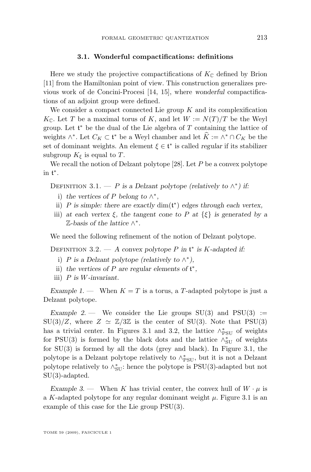#### **3.1. Wonderful compactifications: definitions**

<span id="page-15-0"></span>Here we study the projective compactifications of  $K_{\mathbb{C}}$  defined by Brion [\[11\]](#page-39-0) from the Hamiltonian point of view. This construction generalizes previous work of de Concini-Procesi [\[14,](#page-39-0) [15\]](#page-39-0), where *wonderful* compactifications of an adjoint group were defined.

We consider a compact connected Lie group  $K$  and its complexification  $K_{\mathbb{C}}$ . Let T be a maximal torus of K, and let  $W := N(T)/T$  be the Weyl group. Let  $\mathfrak{t}^*$  be the dual of the Lie algebra of  $T$  containing the lattice of weights  $\wedge^*$ . Let  $C_K \subset \mathfrak{t}^*$  be a Weyl chamber and let  $K := \wedge^* \cap C_K$  be the set of dominant weights. An element  $\xi \in \mathfrak{t}^*$  is called *regular* if its stabilizer subgroup  $K_{\xi}$  is equal to T.

We recall the notion of Delzant polytope [\[28\]](#page-39-0). Let  $P$  be a convex polytope in t ∗ .

DEFINITION 3.1. — *P* is a Delzant polytope (relatively to  $\wedge^*$ ) if:

- i) the vertices of P belong to  $\wedge^*$ ,
- ii) P *is simple: there are exactly* dim(t ∗ ) *edges through each vertex,*
- iii) *at each vertex*  $\xi$ *, the tangent cone to* P *at*  $\{\xi\}$  *is generated by a* Z*-basis of the lattice* ∧ ∗ *.*

We need the following refinement of the notion of Delzant polytope.

Definition 3.2. — *A convex polytope* P *in* t ∗ *is* K*-adapted if:*

- i) P is a Delzant polytope (relatively to  $\wedge^*$ ),
- ii) the vertices of  $P$  are regular elements of  $\mathfrak{t}^*$ ,
- iii) P *is* W*-invariant.*

*Example 1.* — When  $K = T$  is a torus, a T-adapted polytope is just a Delzant polytope.

*Example 2.* — We consider the Lie groups  $SU(3)$  and  $PSU(3) :=$  $SU(3)/Z$ , where  $Z \simeq \mathbb{Z}/3\mathbb{Z}$  is the center of  $SU(3)$ . Note that PSU(3) has a trivial center. In Figures 3.1 and 3.2, the lattice  $\wedge_{\mathrm{PSU}}^*$  of weights for PSU(3) is formed by the black dots and the lattice  $\wedge_{\text{SU}}^*$  of weights for  $SU(3)$  is formed by all the dots (grey and black). In Figure 3.1, the polytope is a Delzant polytope relatively to  $\wedge^*_{\mathrm{PSU}},$  but it is not a Delzant polytope relatively to  $\wedge_{SU}^*$ : hence the polytope is PSU(3)-adapted but not SU(3)-adapted.

*Example 3.* — When K has trivial center, the convex hull of  $W \cdot \mu$  is a K-adapted polytope for any regular dominant weight  $\mu$ . Figure 3.1 is an example of this case for the Lie group PSU(3).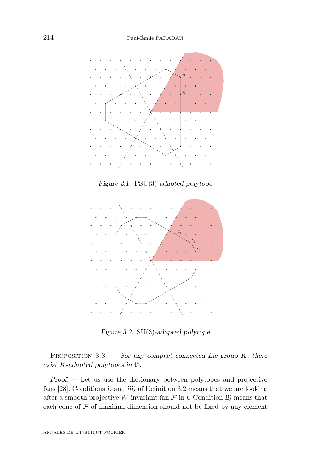<span id="page-16-0"></span>

*Figure 3.1.* PSU(3)*-adapted polytope*



*Figure 3.2.* SU(3)*-adapted polytope*

Proposition 3.3. — *For any compact connected Lie group* K*, there exist* K*-adapted polytopes in* t ∗ *.*

*Proof. —* Let us use the dictionary between polytopes and projective fans [\[28\]](#page-39-0). Conditions *i)* and *iii)* of Definition [3.2](#page-15-0) means that we are looking after a smooth projective W-invariant fan  $\mathcal F$  in t. Condition *ii*) means that each cone of  $\mathcal F$  of maximal dimension should not be fixed by any element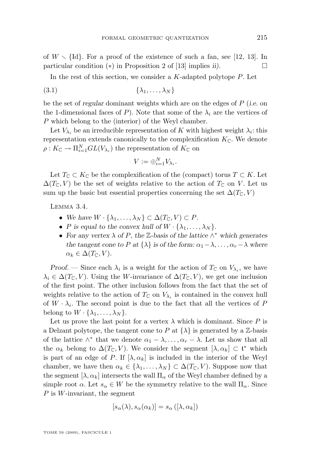<span id="page-17-0"></span>of  $W \setminus \{Id\}$ . For a proof of the existence of such a fan, see [\[12,](#page-39-0) [13\]](#page-39-0). In particular condition  $(*)$  in Proposition 2 of [\[13\]](#page-39-0) implies *ii*).

In the rest of this section, we consider a  $K$ -adapted polytope  $P$ . Let

$$
(3.1) \qquad \qquad \{\lambda_1, \ldots, \lambda_N\}
$$

be the set of *regular* dominant weights which are on the edges of P (*i.e.* on the 1-dimensional faces of P). Note that some of the  $\lambda_i$  are the vertices of P which belong to the (interior) of the Weyl chamber.

Let  $V_{\lambda_i}$  be an irreducible representation of K with highest weight  $\lambda_i$ : this representation extends canonically to the complexification  $K_{\mathbb{C}}$ . We denote  $\rho: K_{\mathbb{C}} \to \Pi_{i=1}^{N} GL(V_{\lambda_{i}})$  the representation of  $K_{\mathbb{C}}$  on

$$
V := \bigoplus_{i=1}^{N} V_{\lambda_i}.
$$

Let  $T_{\mathbb{C}} \subset K_{\mathbb{C}}$  be the complexification of the (compact) torus  $T \subset K$ . Let  $\Delta(T_{\mathbb{C}}, V)$  be the set of weights relative to the action of  $T_{\mathbb{C}}$  on V. Let us sum up the basic but essential properties concerning the set  $\Delta(T_{\mathbb{C}}, V)$ 

Lemma 3.4.

- We have  $W \cdot {\lambda_1, \ldots, \lambda_N} \subset \Delta(T_{\mathbb{C}}, V) \subset P$ .
- P is equal to the convex hull of  $W \cdot \{\lambda_1, \ldots, \lambda_N\}$ .
- *For any vertex* λ *of* P*, the* Z*-basis of the lattice* ∧ <sup>∗</sup> *which generates the tangent cone to* P at  $\{\lambda\}$  *is of the form:*  $\alpha_1 - \lambda, \ldots, \alpha_r - \lambda$  *where*  $\alpha_k \in \Delta(T_{\mathbb{C}}, V)$ .

*Proof.* — Since each  $\lambda_i$  is a weight for the action of  $T_c$  on  $V_{\lambda_i}$ , we have  $\lambda_i \in \Delta(T_{\mathbb{C}}, V)$ . Using the W-invariance of  $\Delta(T_{\mathbb{C}}, V)$ , we get one inclusion of the first point. The other inclusion follows from the fact that the set of weights relative to the action of  $T_{\mathbb{C}}$  on  $V_{\lambda_i}$  is contained in the convex hull of  $W \cdot \lambda_i$ . The second point is due to the fact that all the vertices of F belong to  $W \cdot {\lambda_1, \ldots, \lambda_N}$ .

Let us prove the last point for a vertex  $\lambda$  which is dominant. Since P is a Delzant polytope, the tangent cone to P at  $\{\lambda\}$  is generated by a Z-basis of the lattice  $\wedge^*$  that we denote  $\alpha_1 - \lambda, \ldots, \alpha_r - \lambda$ . Let us show that all the  $\alpha_k$  belong to  $\Delta(T_{\mathbb{C}}, V)$ . We consider the segment  $[\lambda, \alpha_k] \subset \mathfrak{t}^*$  which is part of an edge of P. If  $[\lambda, \alpha_k]$  is included in the interior of the Weyl chamber, we have then  $\alpha_k \in \{\lambda_1, \ldots, \lambda_N\} \subset \Delta(T_{\mathbb{C}}, V)$ . Suppose now that the segment  $[\lambda, \alpha_k]$  intersects the wall  $\Pi_{\alpha}$  of the Weyl chamber defined by a simple root  $\alpha$ . Let  $s_{\alpha} \in W$  be the symmetry relative to the wall  $\Pi_{\alpha}$ . Since  $P$  is W-invariant, the segment

$$
[s_{\alpha}(\lambda), s_{\alpha}(\alpha_k)] = s_{\alpha}([\lambda, \alpha_k])
$$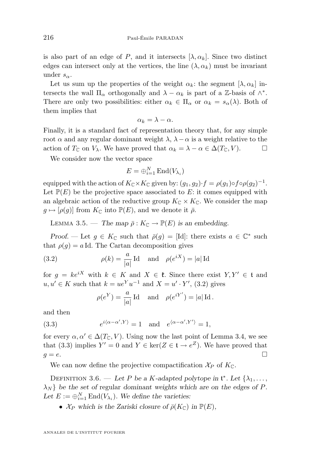<span id="page-18-0"></span>is also part of an edge of P, and it intersects  $[\lambda, \alpha_k]$ . Since two distinct edges can intersect only at the vertices, the line  $(\lambda, \alpha_k)$  must be invariant under  $s_{\alpha}$ .

Let us sum up the properties of the weight  $\alpha_k$ : the segment  $[\lambda, \alpha_k]$  intersects the wall  $\Pi_{\alpha}$  orthogonally and  $\lambda - \alpha_k$  is part of a Z-basis of  $\wedge^*$ . There are only two possibilities: either  $\alpha_k \in \Pi_\alpha$  or  $\alpha_k = s_\alpha(\lambda)$ . Both of them implies that

$$
\alpha_k = \lambda - \alpha.
$$

Finally, it is a standard fact of representation theory that, for any simple root  $\alpha$  and any regular dominant weight  $\lambda$ ,  $\lambda - \alpha$  is a weight relative to the action of  $T_{\mathbb{C}}$  on  $V_{\lambda}$ . We have proved that  $\alpha_k = \lambda - \alpha \in \Delta(T_{\mathbb{C}}, V)$ .

We consider now the vector space

$$
E = \bigoplus_{i=1}^{N} \text{End}(V_{\lambda_i})
$$

equipped with the action of  $K_{\mathbb{C}} \times K_{\mathbb{C}}$  given by:  $(g_1, g_2) \cdot f = \rho(g_1) \circ f \circ \rho(g_2)^{-1}$ . Let  $\mathbb{P}(E)$  be the projective space associated to E: it comes equipped with an algebraic action of the reductive group  $K_{\mathbb{C}} \times K_{\mathbb{C}}$ . We consider the map  $g \mapsto [\rho(g)]$  from  $K_{\mathbb{C}}$  into  $\mathbb{P}(E)$ , and we denote it  $\bar{\rho}$ .

LEMMA 3.5. — *The map*  $\bar{\rho}: K_{\mathbb{C}} \to \mathbb{P}(E)$  *is an embedding.* 

*Proof.* — Let  $g \in K_{\mathbb{C}}$  such that  $\bar{\rho}(g) = [\text{Id}]$ : there exists  $a \in \mathbb{C}^*$  such that  $\rho(g) = a \,\mathrm{Id}$ . The Cartan decomposition gives

(3.2) 
$$
\rho(k) = \frac{a}{|a|} \operatorname{Id} \quad \text{and} \quad \rho(e^{iX}) = |a| \operatorname{Id}
$$

for  $q = ke^{iX}$  with  $k \in K$  and  $X \in \mathfrak{k}$ . Since there exist  $Y, Y' \in \mathfrak{t}$  and  $u, u' \in K$  such that  $k = ue^{Y}u^{-1}$  and  $X = u' \cdot Y'$ , (3.2) gives

$$
\rho(e^Y) = \frac{a}{|a|} \operatorname{Id} \text{ and } \rho(e^{iY'}) = |a| \operatorname{Id}.
$$

and then

(3.3) 
$$
e^{i\langle \alpha - \alpha', Y \rangle} = 1 \quad \text{and} \quad e^{\langle \alpha - \alpha', Y' \rangle} = 1,
$$

for every  $\alpha, \alpha' \in \Delta(T_{\mathbb{C}}, V)$ . Using now the last point of Lemma [3.4,](#page-17-0) we see that (3.3) implies  $Y' = 0$  and  $Y \in \text{ker}(Z \in \mathfrak{t} \to e^Z)$ . We have proved that  $g = e$ .

We can now define the projective compactification  $\mathcal{X}_P$  of  $K_{\mathbb{C}}$ .

DEFINITION 3.6. — Let P be a K-adapted polytope in  $\mathfrak{t}^*$ . Let  $\{\lambda_1, \ldots, \lambda_n\}$  $\lambda_N$ } be the set of regular *dominant* weights which are on the edges of P. Let  $E := \bigoplus_{i=1}^{N} \text{End}(V_{\lambda_i})$ . We define the varieties:

•  $\mathcal{X}_P$  which is the Zariski closure of  $\bar{\rho}(K_{\mathbb{C}})$  in  $\mathbb{P}(E)$ ,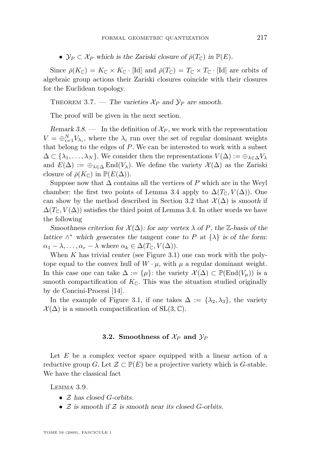<span id="page-19-0"></span>•  $\mathcal{Y}_P \subset \mathcal{X}_P$  which is the Zariski closure of  $\bar{\rho}(T_{\mathbb{C}})$  in  $\mathbb{P}(E)$ .

Since  $\bar{\rho}(K_{\mathbb{C}}) = K_{\mathbb{C}} \times K_{\mathbb{C}} \cdot [\text{Id}]$  and  $\bar{\rho}(T_{\mathbb{C}}) = T_{\mathbb{C}} \times T_{\mathbb{C}} \cdot [\text{Id}]$  are orbits of algebraic group actions their Zariski closures coincide with their closures for the Euclidean topology.

THEOREM 3.7. — The varieties  $\mathcal{X}_P$  and  $\mathcal{Y}_P$  are smooth.

The proof will be given in the next section.

*Remark 3.8.* — In the definition of  $\mathcal{X}_P$ , we work with the representation  $V = \bigoplus_{i=1}^{N} V_{\lambda_i}$ , where the  $\lambda_i$  run over the set of regular dominant weights that belong to the edges of  $P$ . We can be interested to work with a subset  $\Delta \subset \{\lambda_1,\ldots,\lambda_N\}$ . We consider then the representations  $V(\Delta) := \oplus_{\lambda \in \Delta} V_{\lambda}$ and  $E(\Delta) := \bigoplus_{\lambda \in \Delta} \text{End}(V_{\lambda})$ . We define the variety  $\mathcal{X}(\Delta)$  as the Zariski closure of  $\bar{\rho}(K_{\mathbb{C}})$  in  $\mathbb{P}(E(\Delta)).$ 

Suppose now that  $\Delta$  contains all the vertices of P which are in the Weyl chamber: the first two points of Lemma [3.4](#page-17-0) apply to  $\Delta(T_{\mathbb{C}}, V(\Delta))$ . One can show by the method described in Section 3.2 that  $\mathcal{X}(\Delta)$  is *smooth* if  $\Delta(T_{\mathbb{C}}, V(\Delta))$  satisfies the third point of Lemma [3.4.](#page-17-0) In other words we have the following

*Smoothness criterion for*  $\mathcal{X}(\Delta)$ *: for any vertex*  $\lambda$  *of* P*, the* Z-basis of the *lattice*  $\wedge^*$  *which generates the tangent cone to* P *at*  $\{\lambda\}$  *is of the form:*  $\alpha_1 - \lambda, \ldots, \alpha_r - \lambda$  where  $\alpha_k \in \Delta(T_{\mathbb{C}}, V(\Delta)).$ 

When  $K$  has trivial center (see Figure [3.1\)](#page-15-0) one can work with the polytope equal to the convex hull of  $W \cdot \mu$ , with  $\mu$  a regular dominant weight. In this case one can take  $\Delta := {\{\mu\}}$ : the variety  $\mathcal{X}(\Delta) \subset \mathbb{P}(\text{End}(V_{\mu}))$  is a smooth compactification of  $K_{\mathbb{C}}$ . This was the situation studied originally by de Concini-Procesi [\[14\]](#page-39-0).

In the example of Figure [3.1,](#page-16-0) if one takes  $\Delta := {\lambda_2, \lambda_3}$ , the variety  $\mathcal{X}(\Delta)$  is a smooth compactification of SL(3,  $\mathbb{C}$ ).

#### **3.2.** Smoothness of  $\mathcal{X}_P$  and  $\mathcal{Y}_P$

Let  $E$  be a complex vector space equipped with a linear action of a reductive group G. Let  $\mathcal{Z} \subset \mathbb{P}(E)$  be a projective variety which is G-stable. We have the classical fact

Lemma 3.9.

- Z *has closed* G*-orbits.*
- Z *is smooth if* Z *is smooth near its closed* G*-orbits.*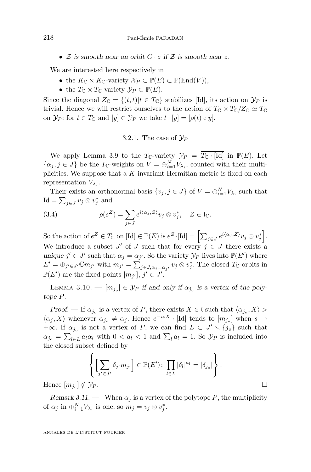<span id="page-20-0"></span>•  $Z$  *is smooth near an orbit*  $G \cdot z$  *if*  $Z$  *is smooth near z.* 

We are interested here respectively in

- the  $K_{\mathbb{C}} \times K_{\mathbb{C}}$ -variety  $\mathcal{X}_P \subset \mathbb{P}(E) \subset \mathbb{P}(\text{End}(V)),$
- the  $T_{\mathbb{C}} \times T_{\mathbb{C}}$ -variety  $\mathcal{Y}_P \subset \mathbb{P}(E)$ .

Since the diagonal  $Z_{\mathbb{C}} = \{(t, t)|t \in T_{\mathbb{C}}\}$  stabilizes [Id], its action on  $\mathcal{Y}_P$  is trivial. Hence we will restrict ourselves to the action of  $T_{\mathbb{C}} \times T_{\mathbb{C}}/Z_{\mathbb{C}} \simeq T_{\mathbb{C}}$ on  $\mathcal{Y}_P$ : for  $t \in T_{\mathbb{C}}$  and  $[y] \in \mathcal{Y}_P$  we take  $t \cdot [y] = [\rho(t) \circ y]$ .

#### 3.2.1. The case of  $\mathcal{Y}_P$

We apply Lemma [3.9](#page-19-0) to the  $T_{\mathbb{C}}$ -variety  $\mathcal{Y}_P = \overline{T_{\mathbb{C}} \cdot [\text{Id}]}$  in  $\mathbb{P}(E)$ . Let  $\{\alpha_j, j \in J\}$  be the  $T_{\mathbb{C}}$ -weights on  $V = \bigoplus_{i=1}^N V_{\lambda_i}$ , counted with their multiplicities. We suppose that a  $K$ -invariant Hermitian metric is fixed on each representation  $V_{\lambda_i}$ .

Their exists an orthonormal basis  $\{v_j, j \in J\}$  of  $V = \bigoplus_{i=1}^N V_{\lambda_i}$  such that Id =  $\sum_{j\in J} v_j \otimes v_j^*$  and

(3.4) 
$$
\rho(e^Z) = \sum_{j \in J} e^{i \langle \alpha_j, Z \rangle} v_j \otimes v_j^*, \quad Z \in \mathfrak{t}_{\mathbb{C}}.
$$

So the action of  $e^Z \in T_{\mathbb{C}}$  on  $[\mathrm{Id}] \in \mathbb{P}(E)$  is  $e^Z \cdot [\mathrm{Id}] = \left[ \sum_{j \in J} e^{i \langle \alpha_j, Z \rangle} v_j \otimes v_j^* \right]$ . We introduce a subset  $J'$  of  $J$  such that for every  $j \in J$  there exists a unique  $j' \in J'$  such that  $\alpha_j = \alpha_{j'}$ . So the variety  $\mathcal{Y}_P$  lives into  $\mathbb{P}(E')$  where  $E' = \bigoplus_{j' \in J'} \mathbb{C}m_{j'}$  with  $m_{j'} = \sum_{j \in J, \alpha_j = \alpha_{j'}} v_j \otimes v_j^*$ . The closed  $T_{\mathbb{C}}$ -orbits in  $\mathbb{P}(E')$  are the fixed points  $[m_{j'}], j' \in J'.$ 

LEMMA 3.10.  $-[m_{j_o}] \in \mathcal{Y}_P$  *if and only if*  $\alpha_{j_o}$  *is a vertex of the polytope* P*.*

*Proof.* — If  $\alpha_{j_o}$  is a vertex of P, there exists  $X \in \mathfrak{t}$  such that  $\langle \alpha_{j_o}, X \rangle >$  $\langle \alpha_j, X \rangle$  whenever  $\alpha_{j_o} \neq \alpha_j$ . Hence  $e^{-isX}$  · [Id] tends to  $[m_{j_o}]$  when  $s \to$ +∞. If  $\alpha_{j_o}$  is not a vertex of P, we can find  $L \subset J' \setminus \{j_o\}$  such that  $\alpha_{j_o} = \sum_{l \in L} a_l \alpha_l$  with  $0 < a_l < 1$  and  $\sum_l a_l = 1$ . So  $\mathcal{Y}_P$  is included into the closed subset defined by

$$
\left\{ \left[ \sum_{j' \in J'} \delta_{j'} m_{j'} \right] \in \mathbb{P}(E') \colon \prod_{l \in L} |\delta_l|^{a_l} = |\delta_{j_o}| \right\}.
$$
  
  $| \notin \mathcal{Y}_P.$ 

Hence  $[m_{i_0}] \notin \mathcal{Y}_P$ .

*Remark 3.11.* — When  $\alpha_i$  is a vertex of the polytope P, the multiplicity of  $\alpha_j$  in  $\bigoplus_{i=1}^N V_{\lambda_i}$  is one, so  $m_j = v_j \otimes v_j^*$ .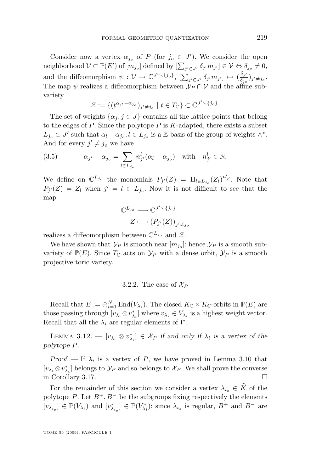<span id="page-21-0"></span>Consider now a vertex  $\alpha_{j_o}$  of P (for  $j_o \in J'$ ). We consider the open neighborhood  $\mathcal{V} \subset \mathbb{P}(E')$  of  $[m_{j_o}]$  defined by  $[\sum_{j' \in J'} \delta_{j'} m_{j'}] \in \mathcal{V} \Leftrightarrow \delta_{j_o} \neq 0$ , and the diffeomorphism  $\psi : \mathcal{V} \to \mathbb{C}^{J' \setminus \{j_o\}}, \ [\sum_{j' \in J'} \delta_{j'} m_{j'}] \mapsto (\frac{\delta_{j'}}{\delta_{j_o}})_{j' \neq j_o}.$ The map  $\psi$  realizes a diffeomorphism between  $\mathcal{Y}_P \cap \mathcal{V}$  and the affine subvariety

$$
\mathcal{Z} := \overline{\{(t^{\alpha_{j'}-\alpha_{j_o}})_{j'\neq j_o} \mid t \in T_{\mathbb{C}}\}} \subset \mathbb{C}^{J' \setminus \{j_o\}}.
$$

The set of weights  $\{\alpha_i, j \in J\}$  contains all the lattice points that belong to the edges of  $P$ . Since the polytope  $P$  is  $K$ -adapted, there exists a subset  $L_{j_o} \subset J'$  such that  $\alpha_l - \alpha_{j_o}, l \in L_{j_o}$  is a Z-basis of the group of weights  $\wedge^*$ . And for every  $j' \neq j_o$  we have

(3.5) 
$$
\alpha_{j'} - \alpha_{j_o} = \sum_{l \in L_{j_o}} n_{j'}^l (\alpha_l - \alpha_{j_o}) \quad \text{with} \quad n_{j'}^l \in \mathbb{N}.
$$

We define on  $\mathbb{C}^{L_{j_o}}$  the monomials  $P_{j'}(Z) = \Pi_{l \in L_{j_o}} (Z_l)^{n_{j'}^l}$ . Note that  $P_{j'}(Z) = Z_l$  when  $j' = l \in L_{j_o}$ . Now it is not difficult to see that the map

$$
\mathbb{C}^{L_{j_o}} \longrightarrow \mathbb{C}^{J' \setminus \{j_o\}}
$$

$$
Z \longmapsto (P_{j'}(Z))_{j' \neq j_o}
$$

realizes a diffeomorphism between  $\mathbb{C}^{L_{j_o}}$  and  $\mathcal{Z}$ .

We have shown that  $\mathcal{Y}_P$  is smooth near  $[m_{j_o}]$ : hence  $\mathcal{Y}_P$  is a smooth subvariety of  $\mathbb{P}(E)$ . Since  $T_{\mathbb{C}}$  acts on  $\mathcal{Y}_P$  with a dense orbit,  $\mathcal{Y}_P$  is a smooth projective toric variety.

#### 3.2.2. The case of  $\mathcal{X}_P$

Recall that  $E := \bigoplus_{i=1}^N \text{End}(V_{\lambda_i})$ . The closed  $K_{\mathbb{C}} \times K_{\mathbb{C}}$ -orbits in  $\mathbb{P}(E)$  are those passing through  $[v_{\lambda_i} \otimes v_{\lambda_i}^*]$  where  $v_{\lambda_i} \in V_{\lambda_i}$  is a highest weight vector. Recall that all the  $\lambda_i$  are regular elements of  $\mathfrak{t}^*$ .

LEMMA 3.12. —  $[v_{\lambda_i} \otimes v_{\lambda_i}^*] \in \mathcal{X}_P$  *if and only if*  $\lambda_i$  *is a vertex of the polytope* P*.*

*Proof.* — If  $\lambda_i$  is a vertex of P, we have proved in Lemma [3.10](#page-20-0) that  $[v_{\lambda_i} \otimes v_{\lambda_i}^*]$  belongs to  $\mathcal{Y}_P$  and so belongs to  $\mathcal{X}_P.$  We shall prove the converse in Corollary [3.17.](#page-26-0)

For the remainder of this section we consider a vertex  $\lambda_{i_0} \in \widehat{K}$  of the polytope P. Let  $B^+, B^-$  be the subgroups fixing respectively the elements  $[v_{\lambda_{i_o}}] \in \mathbb{P}(V_{\lambda_i})$  and  $[v_{\lambda_{i_o}}^*] \in \mathbb{P}(V_{\lambda_i}^*)$ : since  $\lambda_{i_o}$  is regular,  $B^+$  and  $B^-$  are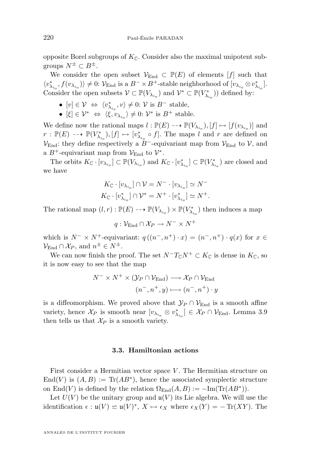opposite Borel subgroups of  $K_{\mathbb{C}}$ . Consider also the maximal unipotent subgroups  $N^{\pm} \subset B^{\pm}$ .

We consider the open subset  $\mathcal{V}_{\text{End}} \subset \mathbb{P}(E)$  of elements  $[f]$  such that  $\langle v_{\lambda_{i_o}}^*, f(v_{\lambda_{i_o}})\rangle \neq 0$ :  $\mathcal{V}_{\text{End}}$  is a  $B^- \times B^+$ -stable neighborhood of  $[v_{\lambda_{i_o}} \otimes v_{\lambda_{i_o}}^*]$ . Consider the open subsets  $\mathcal{V} \subset \mathbb{P}(V_{\lambda_{i_o}})$  and  $\mathcal{V}^* \subset \mathbb{P}(V_{\lambda_{i_o}}^*)$  defined by:

- $[v] \in \mathcal{V} \Leftrightarrow \langle v_{\lambda_{i_o}}^*, v \rangle \neq 0: \mathcal{V}$  is  $B^-$  stable,
- $[\xi] \in \mathcal{V}^* \Leftrightarrow \langle \xi, v_{\lambda_{i_o}} \rangle \neq 0$ :  $\mathcal{V}^*$  is  $B^+$  stable.

We define now the rational maps  $l : \mathbb{P}(E) \dashrightarrow \mathbb{P}(V_{\lambda_{i_o}}), [f] \mapsto [f(v_{\lambda_{i_o}})]$  and  $r : \mathbb{P}(E) \dashrightarrow \mathbb{P}(V_{\lambda_{i_o}}^*), [f] \mapsto [v_{\lambda_{i_o}}^* \circ f].$  The maps l and r are defined on  $V_{\text{End}}$ : they define respectively a B<sup>-</sup>-equivariant map from  $V_{\text{End}}$  to V, and a  $B^+$ -equivariant map from  $\mathcal{V}_{\text{End}}$  to  $\mathcal{V}^*$ .

The orbits  $K_{\mathbb{C}} \cdot [v_{\lambda_{i_o}}] \subset \mathbb{P}(V_{\lambda_{i_o}})$  and  $K_{\mathbb{C}} \cdot [v_{\lambda_{i_o}}^*] \subset \mathbb{P}(V_{\lambda_{i_o}}^*)$  are closed and we have

$$
K_{\mathbb{C}} \cdot [v_{\lambda_{i_o}}] \cap \mathcal{V} = N^{-} \cdot [v_{\lambda_{i_o}}] \simeq N^{-}
$$
  

$$
K_{\mathbb{C}} \cdot [v_{\lambda_{i_o}}^{*}] \cap \mathcal{V}^{*} = N^{+} \cdot [v_{\lambda_{i_o}}^{*}] \simeq N^{+}.
$$

The rational map  $(l,r): \mathbb{P}(E) \dashrightarrow \mathbb{P}(V_{\lambda_{i_o}}) \times \mathbb{P}(V_{\lambda_{i_o}}^*)$  then induces a map

 $q: \mathcal{V}_{\mathrm{End}} \cap \mathcal{X}_P \to N^- \times N^+$ 

which is  $N^- \times N^+$ -equivariant:  $q((n^-, n^+) \cdot x) = (n^-, n^+) \cdot q(x)$  for  $x \in$  $\mathcal{V}_{\text{End}} \cap \mathcal{X}_P$ , and  $n^{\pm} \in N^{\pm}$ .

We can now finish the proof. The set  $N^-T_{\mathbb{C}}N^+ \subset K_{\mathbb{C}}$  is dense in  $K_{\mathbb{C}}$ , so it is now easy to see that the map

$$
N^{-} \times N^{+} \times (\mathcal{Y}_{P} \cap \mathcal{V}_{\text{End}}) \longrightarrow \mathcal{X}_{P} \cap \mathcal{V}_{\text{End}}
$$

$$
(n^{-}, n^{+}, y) \longmapsto (n^{-}, n^{+}) \cdot y
$$

is a diffeomorphism. We proved above that  $\mathcal{Y}_P \cap \mathcal{V}_{\text{End}}$  is a smooth affine variety, hence  $\mathcal{X}_P$  is smooth near  $[v_{\lambda_{i_o}} \otimes v_{\lambda_{i_o}}^*] \in \mathcal{X}_P \cap \mathcal{V}_{\text{End}}$ . Lemma [3.9](#page-19-0) then tells us that  $\mathcal{X}_P$  is a smooth variety.

#### **3.3. Hamiltonian actions**

First consider a Hermitian vector space  $V$ . The Hermitian structure on End(V) is  $(A, B) := \text{Tr}(AB^*)$ , hence the associated symplectic structure on End(V) is defined by the relation  $\Omega_{\text{End}}(A, B) := -\text{Im}(\text{Tr}(AB^*))$ .

Let  $U(V)$  be the unitary group and  $\mathfrak{u}(V)$  its Lie algebra. We will use the identification  $\epsilon : \mathfrak{u}(V) \simeq \mathfrak{u}(V)^*$ ,  $X \mapsto \epsilon_X$  where  $\epsilon_X(Y) = -\text{Tr}(XY)$ . The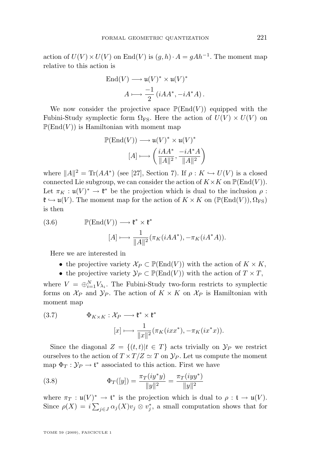action of  $U(V) \times U(V)$  on End $(V)$  is  $(g, h) \cdot A = gAh^{-1}$ . The moment map relative to this action is

End(V) 
$$
\longrightarrow
$$
 u(V)<sup>\*</sup>  $\times$  u(V)<sup>\*</sup>  
 $A \longmapsto \frac{-1}{2} (iAA^*, -iA^*A).$ 

We now consider the projective space  $\mathbb{P}(\text{End}(V))$  equipped with the Fubini-Study symplectic form  $\Omega_{FS}$ . Here the action of  $U(V) \times U(V)$  on  $\mathbb{P}(\text{End}(V))$  is Hamiltonian with moment map

$$
\begin{aligned} \mathbb{P}(\mathrm{End}(V))&\longrightarrow \mathfrak{u}(V)^{*}\times \mathfrak{u}(V)^{*}\\ [A] &\longmapsto \left(\frac{iAA^{*}}{\|A\|^{2}},\frac{-iA^{*}A}{\|A\|^{2}}\right) \end{aligned}
$$

where  $||A||^2 = \text{Tr}(AA^*)$  (see [\[27\]](#page-39-0), Section 7). If  $\rho: K \hookrightarrow U(V)$  is a closed connected Lie subgroup, we can consider the action of  $K \times K$  on  $\mathbb{P}(\text{End}(V))$ . Let  $\pi_K: \mathfrak{u}(V)^* \to \mathfrak{k}^*$  be the projection which is dual to the inclusion  $\rho$ :  $\mathfrak{k} \hookrightarrow \mathfrak{u}(V)$ . The moment map for the action of  $K \times K$  on  $(\mathbb{P}(\text{End}(V)), \Omega_{\text{FS}})$ is then

(3.6) 
$$
\mathbb{P}(\text{End}(V)) \longrightarrow \mathfrak{k}^* \times \mathfrak{k}^* [A] \longmapsto \frac{1}{\|A\|^2} (\pi_K(iAA^*), -\pi_K(iA^*A)).
$$

Here we are interested in

- the projective variety  $\mathcal{X}_P \subset \mathbb{P}(\text{End}(V))$  with the action of  $K \times K$ ,
- the projective variety  $\mathcal{Y}_P \subset \mathbb{P}(\text{End}(V))$  with the action of  $T \times T$ ,

where  $V = \bigoplus_{i=1}^{N} V_{\lambda_i}$ . The Fubini-Study two-form restricts to symplectic forms on  $\mathcal{X}_P$  and  $\mathcal{Y}_P$ . The action of  $K \times K$  on  $\mathcal{X}_P$  is Hamiltonian with moment map

(3.7) 
$$
\Phi_{K \times K}: \mathcal{X}_P \longrightarrow \mathfrak{k}^* \times \mathfrak{k}^* [x] \longmapsto \frac{1}{\|x\|^2} (\pi_K(ixx^*), -\pi_K(ix^*x)).
$$

Since the diagonal  $Z = \{(t, t)|t \in T\}$  acts trivially on  $\mathcal{Y}_P$  we restrict ourselves to the action of  $T \times T/Z \simeq T$  on  $\mathcal{Y}_P$ . Let us compute the moment map  $\Phi_T : \mathcal{Y}_P \to \mathfrak{t}^*$  associated to this action. First we have

(3.8) 
$$
\Phi_T([y]) = \frac{\pi_T(iy^*y)}{\|y\|^2} = \frac{\pi_T(iyy^*)}{\|y\|^2}
$$

where  $\pi_T : \mathfrak{u}(V)^* \to \mathfrak{t}^*$  is the projection which is dual to  $\rho : \mathfrak{t} \to \mathfrak{u}(V)$ . Since  $\rho(X) = i \sum_{j \in J} \alpha_j(X) v_j \otimes v_j^*$ , a small computation shows that for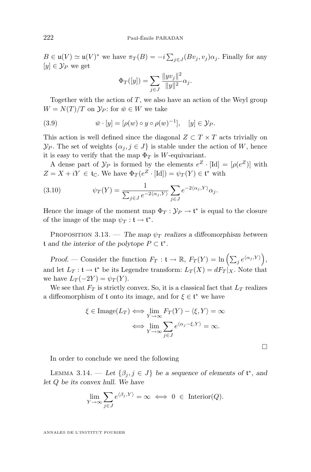<span id="page-24-0"></span> $B \in \mathfrak{u}(V) \simeq \mathfrak{u}(V)^*$  we have  $\pi_T(B) = -i \sum_{j \in J} (Bv_j, v_j) \alpha_j$ . Finally for any  $[y] \in \mathcal{Y}_P$  we get

$$
\Phi_T([y]) = \sum_{j \in J} \frac{\|y v_j\|^2}{\|y\|^2} \alpha_j.
$$

Together with the action of  $T$ , we also have an action of the Weyl group  $W = N(T)/T$  on  $\mathcal{Y}_P$ : for  $\bar{w} \in W$  we take

(3.9) 
$$
\bar{w} \cdot [y] = [\rho(w) \circ y \circ \rho(w)^{-1}], \quad [y] \in \mathcal{Y}_P.
$$

This action is well defined since the diagonal  $Z \subset T \times T$  acts trivially on  $\mathcal{Y}_P$ . The set of weights  $\{\alpha_j, j \in J\}$  is stable under the action of W, hence it is easy to verify that the map  $\Phi_T$  is W-equivariant.

A dense part of  $\mathcal{Y}_P$  is formed by the elements  $e^Z \cdot [\text{Id}] = [\rho(e^Z)]$  with  $Z = X + iY \in \mathfrak{t}_{\mathbb{C}}$ . We have  $\Phi_T(e^Z \cdot [\text{Id}]) = \psi_T(Y) \in \mathfrak{t}^*$  with

(3.10) 
$$
\psi_T(Y) = \frac{1}{\sum_{j \in J} e^{-2\langle \alpha_j, Y \rangle}} \sum_{j \in J} e^{-2\langle \alpha_j, Y \rangle} \alpha_j.
$$

Hence the image of the moment map  $\Phi_T : \mathcal{Y}_P \to \mathfrak{t}^*$  is equal to the closure of the image of the map  $\psi_T : \mathfrak{t} \to \mathfrak{t}^*$ .

PROPOSITION 3.13. — *The map*  $\psi_T$  *realizes a diffeomorphism between* t and the interior of the polytope  $P \subset$  t<sup>∗</sup>.

*Proof.* – Consider the function  $F_T: \mathfrak{t} \to \mathbb{R}, F_T(Y) = \ln \left( \sum_j e^{\langle \alpha_j, Y \rangle} \right),$ and let  $L_T: \mathfrak{t} \to \mathfrak{t}^*$  be its Legendre transform:  $L_T(X) = dF_T|_X$ . Note that we have  $L_T(-2Y) = \psi_T(Y)$ .

We see that  $F_T$  is strictly convex. So, it is a classical fact that  $L_T$  realizes a diffeomorphism of  $t$  onto its image, and for  $\xi \in \mathfrak{t}^*$  we have

$$
\xi \in \text{Image}(L_T) \iff \lim_{Y \to \infty} F_T(Y) - \langle \xi, Y \rangle = \infty
$$

$$
\iff \lim_{Y \to \infty} \sum_{j \in J} e^{\langle \alpha_j - \xi, Y \rangle} = \infty.
$$

 $\Box$ 

In order to conclude we need the following

LEMMA 3.14. — Let  $\{\beta_j, j \in J\}$  be a sequence of elements of  $\mathfrak{t}^*$ , and *let* Q *be its convex hull. We have*

$$
\lim_{Y \to \infty} \sum_{j \in J} e^{\langle \beta_j, Y \rangle} = \infty \iff 0 \in \text{Interior}(Q).
$$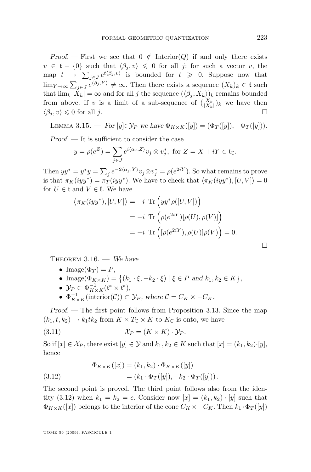<span id="page-25-0"></span>*Proof.* — First we see that  $0 \notin \text{Interior}(Q)$  if and only there exists  $v \in {\mathfrak t} - \{0\}$  such that  $\langle \beta_i, v \rangle \leq 0$  for all j: for such a vector v, the map  $t \to \sum_{j\in J} e^{t\langle \beta_j, v \rangle}$  is bounded for  $t \geq 0$ . Suppose now that  $\lim_{Y \to \infty} \sum_{j \in J} e^{\langle \beta_j, Y \rangle} \neq \infty$ . Then there exists a sequence  $(X_k)_k \in \mathfrak{t}$  such that  $\lim_k |X_k| = \infty$  and for all j the sequence  $(\langle \beta_j, X_k \rangle)_k$  remains bounded from above. If v is a limit of a sub-sequence of  $(\frac{X_k}{|X_k|})_k$  we have then  $\langle \beta_i, v \rangle \leq 0$  for all j.

LEMMA 3.15. — *For*  $[y] \in \mathcal{Y}_P$  *we have*  $\Phi_{K \times K}([y]) = (\Phi_T([y]), -\Phi_T([y]))$ .

*Proof. —* It is sufficient to consider the case

$$
y = \rho(e^Z) = \sum_{j \in J} e^{i\langle \alpha_j, Z \rangle} v_j \otimes v_j^*, \text{ for } Z = X + iY \in \mathfrak{t}_{\mathbb{C}}.
$$

Then  $yy^* = y^*y = \sum_j e^{-2\langle \alpha_j, Y \rangle} v_j \otimes v_j^* = \rho(e^{2iY}).$  So what remains to prove is that  $\pi_K(iyy^*) = \pi_T(iyy^*)$ . We have to check that  $\langle \pi_K(iyy^*), [U, V] \rangle = 0$ for  $U \in \mathfrak{t}$  and  $V \in \mathfrak{k}$ . We have

$$
\langle \pi_K(iyy^*), [U, V] \rangle = -i \operatorname{Tr} \left( yy^* \rho([U, V]) \right)
$$
  
=  $-i \operatorname{Tr} \left( \rho(e^{2iY})[\rho(U), \rho(V)] \right)$   
=  $-i \operatorname{Tr} \left( [\rho(e^{2iY}), \rho(U)] \rho(V) \right) = 0.$ 

Theorem 3.16. — *We have*

- Image( $\Phi_T$ ) = P,
- Image( $\Phi_{K \times K}$ ) = {( $k_1 \cdot \xi, -k_2 \cdot \xi$ ) |  $\xi \in P$  *and*  $k_1, k_2 \in K$ },

• 
$$
\mathcal{Y}_P \subset \Phi_{K \times K}^{-1}(\mathfrak{t}^* \times \mathfrak{t}^*),
$$

•  $\Phi_{K \times K}^{-1}(\text{interior}(\mathcal{C})) \subset \mathcal{Y}_P$ , where  $\mathcal{C} = C_K \times -C_K$ .

*Proof. —* The first point follows from Proposition [3.13.](#page-24-0) Since the map  $(k_1, t, k_2) \mapsto k_1 \, t \, k_2$  from  $K \times T_{\mathbb{C}} \times K$  to  $K_{\mathbb{C}}$  is onto, we have

$$
(3.11) \t\t\t \mathcal{X}_P = (K \times K) \cdot \mathcal{Y}_P.
$$

So if  $[x] \in \mathcal{X}_P$ , there exist  $[y] \in \mathcal{Y}$  and  $k_1, k_2 \in K$  such that  $[x] = (k_1, k_2) \cdot [y]$ , hence

(3.12) 
$$
\Phi_{K \times K}([x]) = (k_1, k_2) \cdot \Phi_{K \times K}([y]) \n= (k_1 \cdot \Phi_T([y]), -k_2 \cdot \Phi_T([y])) .
$$

The second point is proved. The third point follows also from the identity (3.12) when  $k_1 = k_2 = e$ . Consider now  $[x] = (k_1, k_2) \cdot [y]$  such that  $\Phi_{K\times K}([x])$  belongs to the interior of the cone  $C_K \times -C_K$ . Then  $k_1 \cdot \Phi_T([y])$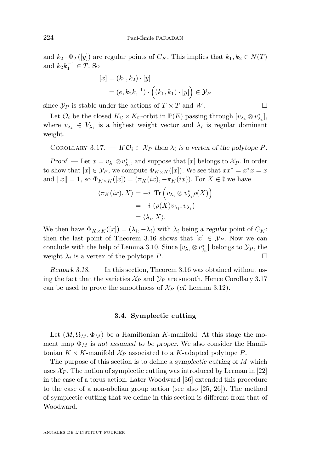<span id="page-26-0"></span>and  $k_2 \cdot \Phi_T([y])$  are regular points of  $C_K$ . This implies that  $k_1, k_2 \in N(T)$ and  $k_2 k_1^{-1} \in T$ . So

$$
[x] = (k_1, k_2) \cdot [y]
$$
  
=  $(e, k_2 k_1^{-1}) \cdot ((k_1, k_1) \cdot [y]) \in \mathcal{Y}_P$ 

since  $\mathcal{Y}_P$  is stable under the actions of  $T \times T$  and W.

Let  $\mathcal{O}_i$  be the closed  $K_{\mathbb{C}} \times K_{\mathbb{C}}$ -orbit in  $\mathbb{P}(E)$  passing through  $[v_{\lambda_i} \otimes v_{\lambda_i}^*],$ where  $v_{\lambda_i} \in V_{\lambda_i}$  is a highest weight vector and  $\lambda_i$  is regular dominant weight.

COROLLARY 3.17. — If  $\mathcal{O}_i \subset \mathcal{X}_P$  then  $\lambda_i$  is a vertex of the polytope P.

*Proof.* — Let  $x = v_{\lambda_i} \otimes v_{\lambda_i}^*$ , and suppose that [x] belongs to  $\mathcal{X}_P$ . In order to show that  $[x] \in \mathcal{Y}_P$ , we compute  $\Phi_{K \times K}([x])$ . We see that  $xx^* = x^*x = x$ and  $||x|| = 1$ , so  $\Phi_{K \times K}([x]) = (\pi_K(ix), -\pi_K(ix))$ . For  $X \in \mathfrak{k}$  we have

$$
\langle \pi_K(ix), X \rangle = -i \operatorname{Tr} \left( v_{\lambda_i} \otimes v_{\lambda_i}^* \rho(X) \right)
$$
  
=  $-i \left( \rho(X) v_{\lambda_i}, v_{\lambda_i} \right)$   
=  $\langle \lambda_i, X \rangle$ .

We then have  $\Phi_{K \times K}([x]) = (\lambda_i, -\lambda_i)$  with  $\lambda_i$  being a *regular* point of  $C_K$ : then the last point of Theorem [3.16](#page-25-0) shows that  $[x] \in \mathcal{Y}_P$ . Now we can conclude with the help of Lemma [3.10.](#page-20-0) Since  $[v_{\lambda_i} \otimes v_{\lambda_i}^*]$  belongs to  $\mathcal{Y}_P$ , the weight  $\lambda_i$  is a vertex of the polytope P.

*Remark 3.18. —* In this section, Theorem [3.16](#page-25-0) was obtained without using the fact that the varieties  $\mathcal{X}_P$  and  $\mathcal{Y}_P$  are smooth. Hence Corollary 3.17 can be used to prove the smoothness of  $\mathcal{X}_P$  (*cf.* Lemma [3.12\)](#page-21-0).

#### **3.4. Symplectic cutting**

Let  $(M, \Omega_M, \Phi_M)$  be a Hamiltonian K-manifold. At this stage the moment map  $\Phi_M$  is *not assumed to be proper*. We also consider the Hamiltonian  $K \times K$ -manifold  $\mathcal{X}_P$  associated to a K-adapted polytope P.

The purpose of this section is to define a *symplectic cutting* of M which uses  $\mathcal{X}_P$ . The notion of symplectic cutting was introduced by Lerman in [\[22\]](#page-39-0) in the case of a torus action. Later Woodward [\[36\]](#page-40-0) extended this procedure to the case of a non-abelian group action (see also [\[25,](#page-39-0) [26\]](#page-39-0)). The method of symplectic cutting that we define in this section is different from that of Woodward.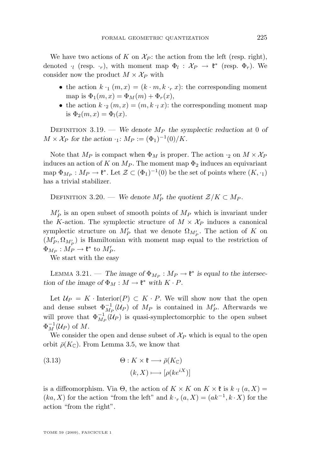We have two actions of K on  $\mathcal{X}_P$ : the action from the left (resp. right), denoted  $\cdot_l$  (resp.  $\cdot_r$ ), with moment map  $\Phi_l : \mathcal{X}_P \to \mathfrak{k}^*$  (resp.  $\Phi_r$ ). We consider now the product  $M \times \mathcal{X}_P$  with

- the action  $k_{\perp 1}$   $(m, x) = (k \cdot m, k \cdot r, x)$ : the corresponding moment map is  $\Phi_1(m, x) = \Phi_M(m) + \Phi_r(x)$ ,
- the action  $k \cdot_2 (m, x) = (m, k \cdot_k x)$ : the corresponding moment map is  $\Phi_2(m, x) = \Phi_l(x)$ .

DEFINITION 3.19. — *We denote*  $M_P$  the symplectic reduction at 0 of  $M \times \mathcal{X}_P$  for the action  $\cdot_1$ :  $M_P := (\Phi_1)^{-1}(0)/K$ .

Note that  $M_P$  is compact when  $\Phi_M$  is proper. The action  $\cdot_2$  on  $M \times \mathcal{X}_P$ induces an action of K on  $M_P$ . The moment map  $\Phi_2$  induces an equivariant map  $\Phi_{M_P}: M_P \to \mathfrak{k}^*$ . Let  $\mathcal{Z} \subset (\Phi_1)^{-1}(0)$  be the set of points where  $(K, \cdot_1)$ has a trivial stabilizer.

DEFINITION 3.20. — We denote  $M'_P$  the quotient  $\mathcal{Z}/K \subset M_P$ .

 $M_P'$  is an open subset of smooth points of  $M_P$  which is invariant under the K-action. The symplectic structure of  $M \times \mathcal{X}_P$  induces a canonical symplectic structure on  $M_P'$  that we denote  $\Omega_{M_P'}$ . The action of K on  $(M_P', \Omega_{M_P'})$  is Hamiltonian with moment map equal to the restriction of  $\Phi_{M_P}: \tilde{M_P} \to \mathfrak{k}^*$  to  $M_P'.$ 

We start with the easy

LEMMA 3.21. — The image of  $\Phi_{M_P}: M_P \to \mathfrak{k}^*$  is equal to the intersec*tion of the image of*  $\Phi_M : M \to \mathfrak{k}^*$  *with*  $K \cdot P$ *.* 

Let  $\mathcal{U}_P = K \cdot \text{Interior}(P) \subset K \cdot P$ . We will show now that the open and dense subset  $\Phi_{M_P}^{-1}(\mathcal{U}_P)$  of  $M_P$  is contained in  $M_P'$ . Afterwards we will prove that  $\Phi_{M_P}^{-1}(\mathcal{U}_P)$  is quasi-symplectomorphic to the open subset  $\Phi_M^{-1}(\mathcal{U}_P)$  of  $M$ .

We consider the open and dense subset of  $\mathcal{X}_P$  which is equal to the open orbit  $\bar{\rho}(K_{\mathbb{C}})$ . From Lemma [3.5,](#page-18-0) we know that

(3.13) 
$$
\Theta: K \times \mathfrak{k} \longrightarrow \bar{\rho}(K_{\mathbb{C}})
$$

$$
(k, X) \longmapsto [\rho(ke^{iX})]
$$

is a diffeomorphism. Via  $\Theta$ , the action of  $K \times K$  on  $K \times \mathfrak{k}$  is  $k \cdot_l (a, X) =$  $(ka, X)$  for the action "from the left" and  $k \cdot r(a, X) = (ak^{-1}, k \cdot X)$  for the action "from the right".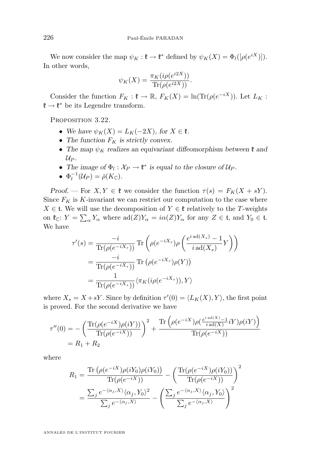We now consider the map  $\psi_K : \mathfrak{k} \to \mathfrak{k}^*$  defined by  $\psi_K(X) = \Phi_l([\rho(e^{iX})])$ . In other words,

$$
\psi_K(X) = \frac{\pi_K(i\rho(e^{i2X}))}{\text{Tr}(\rho(e^{i2X}))}.
$$

Consider the function  $F_K$ :  $\mathfrak{k} \to \mathbb{R}$ ,  $F_K(X) = \ln(\text{Tr}(\rho(e^{-iX}))$ . Let  $L_K$ :  $\mathfrak{k} \to \mathfrak{k}^*$  be its Legendre transform.

PROPOSITION 3.22.

- We have  $\psi_K(X) = L_K(-2X)$ , for  $X \in \mathfrak{k}$ .
- The function  $F_K$  is strictly convex.
- The map  $\psi_K$  realizes an equivariant diffeomorphism between  $\mathfrak k$  and  $U_P$ .
- The image of  $\Phi_l : \mathcal{X}_P \to \mathfrak{k}^*$  is equal to the closure of  $\mathcal{U}_P$ .
- $\Phi_l^{-1}(\mathcal{U}_P) = \bar{\rho}(K_{\mathbb{C}}).$

*Proof.* — For  $X, Y \in \mathfrak{k}$  we consider the function  $\tau(s) = F_K(X + sY)$ . Since  $F_K$  is K-invariant we can restrict our computation to the case where  $X \in \mathfrak{t}$ . We will use the decomposition of  $Y \in \mathfrak{k}$  relatively to the T-weights on  $\mathfrak{k}_{\mathbb{C}}$ :  $Y = \sum_{\alpha} Y_{\alpha}$  where  $\text{ad}(Z)Y_{\alpha} = i\alpha(Z)Y_{\alpha}$  for any  $Z \in \mathfrak{t}$ , and  $Y_0 \in \mathfrak{t}$ . We have

$$
\tau'(s) = \frac{-i}{\text{Tr}(\rho(e^{-iX_s}))} \text{Tr}\left(\rho(e^{-iX_s})\rho\left(\frac{e^{i\text{ ad}(X_s)}-1}{i\text{ ad}(X_s)}Y\right)\right)
$$

$$
= \frac{-i}{\text{Tr}(\rho(e^{-iX_s}))} \text{Tr}\left(\rho(e^{-iX_s})\rho(Y)\right)
$$

$$
= \frac{1}{\text{Tr}(\rho(e^{-iX_s}))} \langle \pi_K(i\rho(e^{-iX_s})), Y \rangle
$$

where  $X_s = X + sY$ . Since by definition  $\tau'(0) = \langle L_K(X), Y \rangle$ , the first point is proved. For the second derivative we have

$$
\tau''(0) = -\left(\frac{\text{Tr}(\rho(e^{-iX})\rho(iY))}{\text{Tr}(\rho(e^{-iX}))}\right)^2 + \frac{\text{Tr}\left(\rho(e^{-iX})\rho\left(\frac{e^{i\operatorname{ad}(X)}-1}{i\operatorname{ad}(X)}iY)\rho(iY)\right)}{\text{Tr}(\rho(e^{-iX}))}
$$

$$
= R_1 + R_2
$$

where

$$
R_1 = \frac{\text{Tr}\left(\rho(e^{-iX})\rho(iY_0)\rho(iY_0)\right)}{\text{Tr}(\rho(e^{-iX}))} - \left(\frac{\text{Tr}(\rho(e^{-iX})\rho(iY_0))}{\text{Tr}(\rho(e^{-iX}))}\right)^2
$$

$$
= \frac{\sum_j e^{-(\alpha_j,X)} \langle \alpha_j, Y_0 \rangle^2}{\sum_j e^{-(\alpha_j,X)}} - \left(\frac{\sum_j e^{-(\alpha_j,X)} \langle \alpha_j, Y_0 \rangle}{\sum_j e^{-(\alpha_j,X)}}\right)^2
$$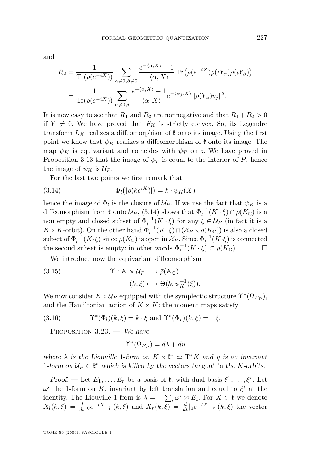<span id="page-29-0"></span>and

$$
R_2 = \frac{1}{\text{Tr}(\rho(e^{-iX}))} \sum_{\alpha \neq 0, \beta \neq 0} \frac{e^{-\langle \alpha, X \rangle} - 1}{-\langle \alpha, X \rangle} \text{Tr}(\rho(e^{-iX})\rho(iY_{\alpha})\rho(iY_{\beta}))
$$
  
= 
$$
\frac{1}{\text{Tr}(\rho(e^{-iX}))} \sum_{\alpha \neq 0, j} \frac{e^{-\langle \alpha, X \rangle} - 1}{-\langle \alpha, X \rangle} e^{-\langle \alpha_j, X \rangle} \|\rho(Y_{\alpha})v_j\|^2.
$$

It is now easy to see that  $R_1$  and  $R_2$  are nonnegative and that  $R_1 + R_2 > 0$ if  $Y \neq 0$ . We have proved that  $F_K$  is strictly convex. So, its Legendre transform  $L_K$  realizes a diffeomorphism of  $\ell$  onto its image. Using the first point we know that  $\psi_K$  realizes a diffeomorphism of  $\mathfrak k$  onto its image. The map  $\psi_K$  is equivariant and coincides with  $\psi_T$  on t. We have proved in Proposition [3.13](#page-24-0) that the image of  $\psi_T$  is equal to the interior of P, hence the image of  $\psi_K$  is  $\mathcal{U}_P$ .

For the last two points we first remark that

(3.14) 
$$
\Phi_l\big([\rho(ke^{iX})]\big) = k \cdot \psi_K(X)
$$

hence the image of  $\Phi_l$  is the closure of  $\mathcal{U}_P$ . If we use the fact that  $\psi_K$  is a diffeomorphism from  $\mathfrak k$  onto  $\mathcal U_P$ , (3.14) shows that  $\Phi_l^{-1}(K \cdot \xi) \cap \bar{\rho}(K_{\mathbb C})$  is a non empty and closed subset of  $\Phi_l^{-1}(K \cdot \xi)$  for any  $\xi \in \mathcal{U}_P$  (in fact it is a  $K \times K$ -orbit). On the other hand  $\Phi_l^{-1}(K \cdot \xi) \cap (\mathcal{X}_P \setminus \overline{\rho}(K_{\mathbb{C}}))$  is also a closed subset of  $\Phi_l^{-1}(K \cdot \xi)$  since  $\bar{\rho}(K_{\mathbb{C}})$  is open in  $\mathcal{X}_P$ . Since  $\Phi_l^{-1}(K \cdot \xi)$  is connected the second subset is empty: in other words  $\Phi_l^{-1}(K \cdot \xi) \subset \bar{\rho}(K_{\mathbb{C}})$ .

We introduce now the equivariant diffeomorphism

(3.15) 
$$
\Upsilon: K \times \mathcal{U}_P \longrightarrow \bar{\rho}(K_{\mathbb{C}})
$$

$$
(k, \xi) \longmapsto \Theta(k, \psi_K^{-1}(\xi)).
$$

We now consider  $K \times \mathcal{U}_P$  equipped with the symplectic structure  $\Upsilon^*(\Omega_{\mathcal{X}_P}),$ and the Hamiltonian action of  $K \times K$ : the moment maps satisfy

(3.16) 
$$
\Upsilon^*(\Phi_l)(k,\xi) = k \cdot \xi \text{ and } \Upsilon^*(\Phi_r)(k,\xi) = -\xi.
$$

Proposition 3.23. — *We have*

$$
\Upsilon^*(\Omega_{\mathcal{X}_P}) = d\lambda + d\eta
$$

where  $\lambda$  is the Liouville 1-form on  $K \times \mathfrak{k}^* \simeq T^*K$  and  $\eta$  is an invariant 1-form on  $U_P \subset \mathfrak{k}^*$  which is killed by the vectors tangent to the K-orbits.

*Proof.* — Let  $E_1, \ldots, E_r$  be a basis of  $\mathfrak{k}$ , with dual basis  $\xi^1, \ldots, \xi^r$ . Let  $\omega^i$  the 1-form on K, invariant by left translation and equal to  $\xi^i$  at the identity. The Liouville 1-form is  $\lambda = -\sum_i \omega^i \otimes E_i$ . For  $X \in \mathfrak{k}$  we denote  $X_l(k,\xi) = \frac{d}{dt}\vert_0 e^{-tX} \cdot_l (k,\xi)$  and  $X_r(k,\xi) = \frac{d}{dt}\vert_0 e^{-tX} \cdot_r (k,\xi)$  the vector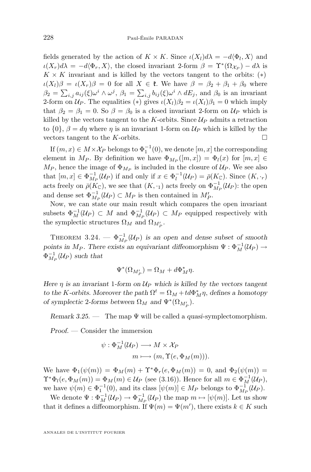<span id="page-30-0"></span>fields generated by the action of  $K \times K$ . Since  $\iota(X_l)d\lambda = -d\langle \Phi_l, X \rangle$  and  $\iota(X_r)d\lambda = -d\langle \Phi_r, X \rangle$ , the closed invariant 2-form  $\beta = \Upsilon^*(\Omega_{\mathcal{X}_P}) - d\lambda$  is  $K \times K$  invariant and is killed by the vectors tangent to the orbits: (\*)  $\iota(X_l)\beta = \iota(X_r)\beta = 0$  for all  $X \in \mathfrak{k}$ . We have  $\beta = \beta_2 + \beta_1 + \beta_0$  where  $\beta_2 = \sum_{i,j} a_{ij}(\xi)\omega^i \wedge \omega^j$ ,  $\beta_1 = \sum_{i,j} b_{ij}(\xi)\omega^i \wedge dE_j$ , and  $\beta_0$  is an invariant 2-form on  $\mathcal{U}_P$ . The equalities (\*) gives  $\iota(X_l)\beta_2 = \iota(X_l)\beta_1 = 0$  which imply that  $\beta_2 = \beta_1 = 0$ . So  $\beta = \beta_0$  is a closed invariant 2-form on  $\mathcal{U}_P$  which is killed by the vectors tangent to the K-orbits. Since  $\mathcal{U}_P$  admits a retraction to  $\{0\}$ ,  $\beta = d\eta$  where  $\eta$  is an invariant 1-form on  $\mathcal{U}_P$  which is killed by the vectors tangent to the K-orbits.  $\square$ 

If  $(m, x) \in M \times \mathcal{X}_P$  belongs to  $\Phi_1^{-1}(0)$ , we denote  $[m, x]$  the corresponding element in  $M_P$ . By definition we have  $\Phi_{M_P}([m,x]) = \Phi_l(x)$  for  $[m,x] \in$  $M_P$ , hence the image of  $\Phi_{M_P}$  is included in the closure of  $\mathcal{U}_P$ . We see also that  $[m, x] \in \Phi_{M_P}^{-1}(\mathcal{U}_P)$  if and only if  $x \in \Phi_l^{-1}(\mathcal{U}_P) = \overline{\rho}(K_{\mathbb{C}})$ . Since  $(K, \cdot_r)$ acts freely on  $\bar{\rho}(K_{\mathbb{C}})$ , we see that  $(K, \cdot_1)$  acts freely on  $\Phi_{M_P}^{-1}(\mathcal{U}_P)$ : the open and dense set  $\Phi_{M_P}^{-1}(\mathcal{U}_P) \subset M_P$  is then contained in  $M_P'$ .

Now, we can state our main result which compares the open invariant subsets  $\Phi_M^{-1}(\mathcal{U}_P) \subset M$  and  $\Phi_{M_P}^{-1}(\mathcal{U}_P) \subset M_P$  equipped respectively with the symplectic structures  $\Omega_M$  and  $\Omega_{M_P'}$ .

THEOREM 3.24. —  $\Phi_{M_P}^{-1}(\mathcal{U}_P)$  is an open and dense subset of smooth *points in*  $M_P$ . There exists an equivariant diffeomorphism  $\Psi : \Phi_M^{-1}(\mathcal{U}_P) \to$  $\Phi_{M_P}^{-1}(\mathcal{U}_P)$  such that

$$
\Psi^*(\Omega_{M_P'}) = \Omega_M + d\Phi_M^* \eta.
$$

*Here*  $\eta$  *is an invariant* 1*-form on*  $U_P$  *which is killed by the vectors tangent to the K*-orbits. Moreover the path  $\Omega^t = \Omega_M + td\Phi_M^* \eta$ , defines a homotopy *of symplectic* 2-forms between  $\Omega_M$  and  $\Psi^*(\Omega_{M_P^{\prime}})$ .

*Remark 3.25. —* The map Ψ will be called a *quasi*-symplectomorphism.

*Proof. —* Consider the immersion

$$
\psi: \Phi_M^{-1}(\mathcal{U}_P) \longrightarrow M \times \mathcal{X}_P
$$

$$
m \longmapsto (m, \Upsilon(e, \Phi_M(m))).
$$

We have  $\Phi_1(\psi(m)) = \Phi_M(m) + \Upsilon^* \Phi_r(e, \Phi_M(m)) = 0$ , and  $\Phi_2(\psi(m)) =$  $\Upsilon^*\Phi_l(e, \Phi_M(m)) = \Phi_M(m) \in \mathcal{U}_P$  (see [\(3.16\)](#page-29-0)). Hence for all  $m \in \Phi_M^{-1}(\mathcal{U}_P)$ , we have  $\psi(m) \in \Phi_1^{-1}(0)$ , and its class  $[\psi(m)] \in M_P$  belongs to  $\Phi_{M_P}^{-1}(\mathcal{U}_P)$ .

We denote  $\Psi : \Phi_M^{-1}(\mathcal{U}_P) \to \Phi_{M_P}^{-1}(\mathcal{U}_P)$  the map  $m \mapsto [\psi(m)]$ . Let us show that it defines a diffeomorphism. If  $\Psi(m) = \Psi(m')$ , there exists  $k \in K$  such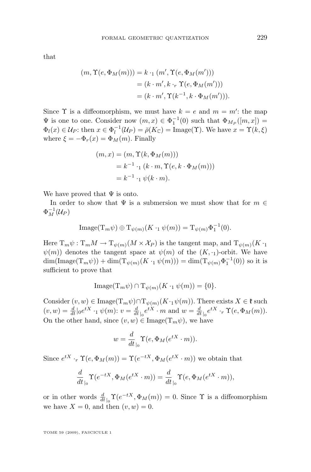that

$$
(m, \Upsilon(e, \Phi_M(m))) = k \cdot_1 (m', \Upsilon(e, \Phi_M(m')))
$$
  
=  $(k \cdot m', k \cdot_r \Upsilon(e, \Phi_M(m')))$   
=  $(k \cdot m', \Upsilon(k^{-1}, k \cdot \Phi_M(m'))).$ 

Since  $\Upsilon$  is a diffeomorphism, we must have  $k = e$  and  $m = m'$ : the map  $\Psi$  is one to one. Consider now  $(m, x) \in \Phi_1^{-1}(0)$  such that  $\Phi_{M_P}([m, x]) =$  $\Phi_l(x) \in \mathcal{U}_P$ : then  $x \in \Phi_l^{-1}(\mathcal{U}_P) = \bar{\rho}(K_{\mathbb{C}}) = \text{Image}(\Upsilon)$ . We have  $x = \Upsilon(k, \xi)$ where  $\xi = -\Phi_r(x) = \Phi_M(m)$ . Finally

$$
(m, x) = (m, \Upsilon(k, \Phi_M(m)))
$$
  
=  $k^{-1} \cdot (k \cdot m, \Upsilon(e, k \cdot \Phi_M(m)))$   
=  $k^{-1} \cdot (k \cdot m)$ .

We have proved that  $\Psi$  is onto.

In order to show that  $\Psi$  is a submersion we must show that for  $m \in$  $\Phi_M^{-1}(\mathcal{U}_P)$ 

$$
\operatorname{Image}(\mathrm{T}_m \psi) \oplus \mathrm{T}_{\psi(m)}(K \cdot_1 \psi(m)) = \mathrm{T}_{\psi(m)} \Phi_1^{-1}(0).
$$

Here  $T_m \psi : T_m M \to T_{\psi(m)}(M \times \mathcal{X}_P)$  is the tangent map, and  $T_{\psi(m)}(K \cdot_1$  $\psi(m)$  denotes the tangent space at  $\psi(m)$  of the  $(K, \cdot_1)$ -orbit. We have  $\dim(\text{Image}(T_m\psi)) + \dim(T_{\psi(m)}(K \cdot_1 \psi(m))) = \dim(T_{\psi(m)}\Phi_1^{-1}(0))$  so it is sufficient to prove that

$$
\text{Image}(\mathrm{T}_m \psi) \cap \mathrm{T}_{\psi(m)}(K \cdot_1 \psi(m)) = \{0\}.
$$

Consider  $(v, w) \in \text{Image}(T_m \psi) \cap T_{\psi(m)}(K \cdot_1 \psi(m))$ . There exists  $X \in \mathfrak{k}$  such  $(v, w) = \frac{d}{dt} |_{0} e^{tX} \cdot_{1} \psi(m) : v = \frac{d}{dt} |_{0} e^{tX} \cdot m$  and  $w = \frac{d}{dt} |_{0} e^{tX} \cdot_{r} \Upsilon(e, \Phi_{M}(m))$ . On the other hand, since  $(v, w) \in \text{Image}(T_m \psi)$ , we have

$$
w = \frac{d}{dt}\Big|_{0} \Upsilon(e, \Phi_M(e^{tX} \cdot m)).
$$

Since  $e^{tX} \cdot_r \Upsilon(e, \Phi_M(m)) = \Upsilon(e^{-tX}, \Phi_M(e^{tX} \cdot m))$  we obtain that

$$
\frac{d}{dt}\Big|_{0}\Upsilon(e^{-tX},\Phi_M(e^{tX}\cdot m))=\frac{d}{dt}\Big|_{0}\Upsilon(e,\Phi_M(e^{tX}\cdot m)),
$$

or in other words  $\frac{d}{dt}\Big|_0 \Upsilon(e^{-tX}, \Phi_M(m)) = 0$ . Since  $\Upsilon$  is a diffeomorphism we have  $X = 0$ , and then  $(v, w) = 0$ .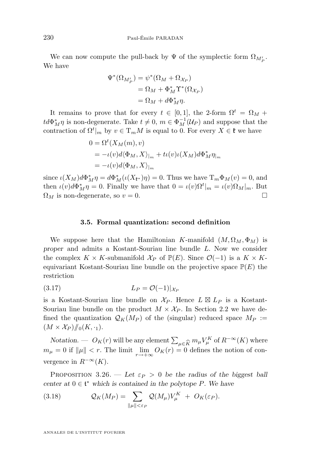We can now compute the pull-back by  $\Psi$  of the symplectic form  $\Omega_{M_P'}$ . We have

$$
\Psi^*(\Omega_{M_P'}) = \psi^*(\Omega_M + \Omega_{\mathcal{X}_P})
$$
  
=  $\Omega_M + \Phi_M^* \Upsilon^*(\Omega_{\mathcal{X}_P})$   
=  $\Omega_M + d\Phi_M^* \eta$ .

It remains to prove that for every  $t \in [0,1]$ , the 2-form  $\Omega^t = \Omega_M +$  $td\Phi_M^* \eta$  is non-degenerate. Take  $t \neq 0$ ,  $m \in \Phi_M^{-1}(\mathcal{U}_P)$  and suppose that the contraction of  $\Omega^t|_m$  by  $v \in \mathrm{T}_m M$  is equal to 0. For every  $X \in \mathfrak{k}$  we have

$$
0 = \Omega^t(X_M(m), v)
$$
  
=  $- \iota(v) d \langle \Phi_M, X \rangle_{|m} + t \iota(v) \iota(X_M) d \Phi_M^* \eta_{|m}$   
=  $- \iota(v) d \langle \Phi_M, X \rangle_{|m}$ 

since  $\iota(X_M)d\Phi_M^*\eta = d\Phi_M^*(\iota(X_{\mathfrak{k}^*})\eta) = 0$ . Thus we have  $T_m\Phi_M(v) = 0$ , and then  $\iota(v)d\Phi_M^*\eta = 0$ . Finally we have that  $0 = \iota(v)\Omega^t|_m = \iota(v)\Omega_M|_m$ . But  $\Omega_M$  is non-degenerate, so  $v = 0$ .

#### **3.5. Formal quantization: second definition**

We suppose here that the Hamiltonian K-manifold  $(M, \Omega_M, \Phi_M)$  is *proper* and admits a Kostant-Souriau line bundle L. Now we consider the complex  $K \times K$ -submanifold  $\mathcal{X}_P$  of  $\mathbb{P}(E)$ . Since  $\mathcal{O}(-1)$  is a  $K \times K$ equivariant Kostant-Souriau line bundle on the projective space  $\mathbb{P}(E)$  the restriction

$$
(3.17) \t\t\t L_P = \mathcal{O}(-1)|_{\mathcal{X}_P}
$$

is a Kostant-Souriau line bundle on  $\mathcal{X}_P$ . Hence  $L \boxtimes L_P$  is a Kostant-Souriau line bundle on the product  $M \times \mathcal{X}_P$ . In Section [2.2](#page-8-0) we have defined the quantization  $\mathcal{Q}_K(M_P)$  of the (singular) reduced space  $M_P :=$  $(M \times \mathcal{X}_P)/\!\!/_{0}(K, \cdot_1).$ 

*Notation.* —  $O_K(r)$  will be any element  $\sum_{\mu \in \widehat{K}} m_{\mu} V_{\mu}^K$  of  $R^{-\infty}(K)$  where  $\mu = 0$  if  $||\mu|| < r$ . The limit  $\lim_{\Delta \to \infty} O_K(r) = 0$  defines the notion of con $m_{\mu} = 0$  if  $\|\mu\| < r$ . The limit  $\lim_{r \to +\infty} O_K(r) = 0$  defines the notion of convergence in  $R^{-\infty}(K)$ .

PROPOSITION 3.26. — Let  $\varepsilon_P > 0$  be the radius of the biggest ball *center at*  $0 \in \mathfrak{t}^*$  *which is contained in the polytope P. We have* 

(3.18) 
$$
\mathcal{Q}_K(M_P) = \sum_{\|\mu\| < \varepsilon_P} \mathcal{Q}(M_\mu) V_\mu^K + O_K(\varepsilon_P).
$$

<span id="page-32-0"></span>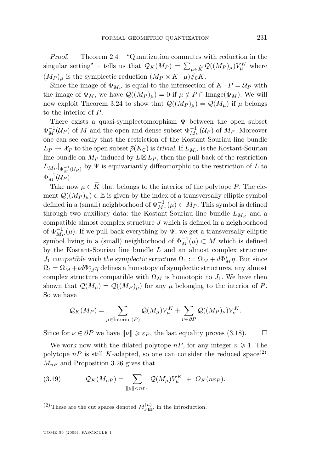*Proof. —* Theorem [2.4](#page-9-0) – "Quantization commutes with reduction in the singular setting" – tells us that  $\mathcal{Q}_K(M_P) = \sum_{\mu \in \widehat{K}} \mathcal{Q}((M_P)_{\mu})V_{\mu}^K$  where  $(M_P)$  is the symplectic reduction  $(M_P \times \overline{K \cdot \mu})/\int_{\mathbb{R}} K$  $(M_P)_{\mu}$  is the symplectic reduction  $(M_P \times \overline{K \cdot \mu})/N_0K$ .

Since the image of  $\Phi_{M_P}$  is equal to the intersection of  $K \cdot P = \mathcal{U}_P$  with the image of  $\Phi_M$ , we have  $\mathcal{Q}((M_P)_{\mu}) = 0$  if  $\mu \notin P \cap \text{Image}(\Phi_M)$ . We will now exploit Theorem [3.24](#page-30-0) to show that  $\mathcal{Q}((M_P)_{\mu}) = \mathcal{Q}(M_{\mu})$  if  $\mu$  belongs to the interior of P.

There exists a quasi-symplectomorphism  $\Psi$  between the open subset  $\Phi_M^{-1}(\mathcal{U}_P)$  of M and the open and dense subset  $\Phi_{M_P}^{-1}(\mathcal{U}_P)$  of  $M_P$ . Moreover one can see easily that the restriction of the Kostant-Souriau line bundle  $L_P \to \mathcal{X}_P$  to the open subset  $\bar{\rho}(K_{\mathbb{C}})$  is *trivial*. If  $L_{M_P}$  is the Kostant-Souriau line bundle on  $M_P$  induced by  $L \boxtimes L_P$ , then the pull-back of the restriction  $L_{M_P}|_{\Phi_M^{-1}(\mathcal{U}_P)}$  by  $\Psi$  is equivariantly diffeomorphic to the restriction of L to  $\Phi_M^{-1}(\mathcal{U}_P).$ 

Take now  $\mu \in \widehat{K}$  that belongs to the interior of the polytope P. The element  $\mathcal{Q}((M_P)_\mu) \in \mathbb{Z}$  is given by the index of a transversally elliptic symbol defined in a (small) neighborhood of  $\Phi_{M_P}^{-1}(\mu) \subset M_P$ . This symbol is defined through two auxiliary data: the Kostant-Souriau line bundle  $L_{M_P}$  and a compatible almost complex structure  $J$  which is defined in a neighborhood of  $\Phi_{M_P}^{-1}(\mu)$ . If we pull back everything by  $\Psi$ , we get a transversally elliptic symbol living in a (small) neighborhood of  $\Phi_M^{-1}(\mu) \subset M$  which is defined by the Kostant-Souriau line bundle  $L$  and an almost complex structure  $J_1$  *compatible with the symplectic structure*  $\Omega_1 := \Omega_M + d\Phi_M^* \eta$ . But since  $\Omega_t = \Omega_M + td\Phi_M^* \eta$  defines a homotopy of symplectic structures, any almost complex structure compatible with  $\Omega_M$  is homotopic to  $J_1$ . We have then shown that  $\mathcal{Q}(M_{\mu}) = \mathcal{Q}((M_{P})_{\mu})$  for any  $\mu$  belonging to the interior of P. So we have

$$
\mathcal{Q}_K(M_P) = \sum_{\mu \in \text{Interior}(P)} \mathcal{Q}(M_{\mu}) V_{\mu}^K + \sum_{\nu \in \partial P} \mathcal{Q}((M_P)_{\nu}) V_{\nu}^K.
$$

Since for  $\nu \in \partial P$  we have  $\|\nu\| \geq \varepsilon_P$ , the last equality proves [\(3.18\)](#page-32-0).

We work now with the dilated polytope  $nP$ , for any integer  $n \geq 1$ . The polytope  $nP$  is still K-adapted, so one can consider the reduced space<sup>(2)</sup>  $M_{nP}$  and Proposition [3.26](#page-32-0) gives that

(3.19) 
$$
\mathcal{Q}_K(M_{nP}) = \sum_{\|\mu\| < n\varepsilon_P} \mathcal{Q}(M_{\mu}) V_{\mu}^K + O_K(n\varepsilon_P).
$$

<sup>(2)</sup> These are the cut spaces denoted  $M_{\text{PEP}}^{(n)}$  in the introduction.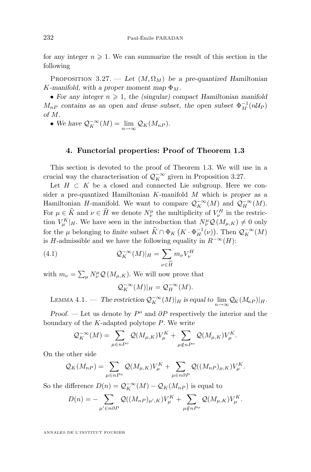<span id="page-34-0"></span>for any integer  $n \geqslant 1$ . We can summarize the result of this section in the following

PROPOSITION 3.27. — Let  $(M, \Omega_M)$  be a pre-quantized Hamiltonian K-manifold, with a proper moment map  $\Phi_M$ .

• For any integer  $n \geq 1$ , the (singular) compact Hamiltonian manifold  $M_{nP}$  contains as an open and dense subset, the open subset  $\Phi_M^{-1}(nU_P)$ *of* M*.*

• We have  $\mathcal{Q}_K^{-\infty}(M) = \lim_{n \to \infty} \mathcal{Q}_K(M_{nP}).$ 

#### **4. Functorial properties: Proof of Theorem [1.3](#page-4-0)**

This section is devoted to the proof of Theorem [1.3.](#page-4-0) We will use in a crucial way the characterisation of  $\mathcal{Q}_K^{-\infty}$  given in Proposition 3.27.

Let  $H \subset K$  be a closed and connected Lie subgroup. Here we consider a pre-quantized Hamiltonian K-manifold M which is *proper* as a Hamiltonian H-manifold. We want to compare  $\mathcal{Q}_K^{-\infty}(M)$  and  $\mathcal{Q}_H^{-\infty}(M)$ . For  $\mu \in \hat{K}$  and  $\nu \in \hat{H}$  we denote  $N_{\nu}^{\mu}$  the multiplicity of  $V_{\nu}^{H}$  in the restriction  $V_{\mu}^{K}|_{H}$ . We have seen in the introduction that  $N_{\nu}^{\mu}Q(M_{\mu,K}) \neq 0$  only for the  $\mu$  belonging to finite subset  $\widehat{K} \cap \Phi_K \left( K \cdot \Phi_H^{-1}(\nu) \right)$ . Then  $\mathcal{Q}_K^{-\infty}(M)$ is H-admissible and we have the following equality in  $R^{-\infty}(H)$ :

(4.1) 
$$
\mathcal{Q}_K^{-\infty}(M)|_H = \sum_{\nu \in \widehat{H}} m_{\nu} V_{\nu}^H
$$

with  $m_{\nu} = \sum_{\mu} N_{\nu}^{\mu} \mathcal{Q} (M_{\mu,K})$ . We will now prove that

$$
\mathcal{Q}_K^{-\infty}(M)|_H = \mathcal{Q}_H^{-\infty}(M).
$$

LEMMA 4.1. — The restriction  $\mathcal{Q}_K^{-\infty}(M)|_H$  is equal to  $\lim_{n\to\infty}\mathcal{Q}_K(M_{nP})|_H$ .

*Proof.* — Let us denote by  $P^o$  and ∂P respectively the interior and the boundary of the  $K$ -adapted polytope  $P$ . We write

$$
\mathcal{Q}_K^{-\infty}(M) = \sum_{\mu \in nP^o} \mathcal{Q}(M_{\mu,K}) V^K_{\mu} + \sum_{\mu \notin nP^o} \mathcal{Q}(M_{\mu,K}) V^K_{\mu}.
$$

On the other side

$$
\mathcal{Q}_K(M_{nP}) = \sum_{\mu \in nP^o} \mathcal{Q}(M_{\mu,K})V_{\mu}^K + \sum_{\mu \in n\partial P} \mathcal{Q}((M_{nP})_{\mu,K})V_{\mu}^K.
$$

So the difference  $D(n) = \mathcal{Q}_K^{-\infty}(M) - \mathcal{Q}_K(M_{nP})$  is equal to

$$
D(n) = -\sum_{\mu' \in n\partial P} \mathcal{Q}((M_{nP})_{\mu',K})V_{\mu}^K + \sum_{\mu \notin nP^o} \mathcal{Q}(M_{\mu,K})V_{\mu}^K.
$$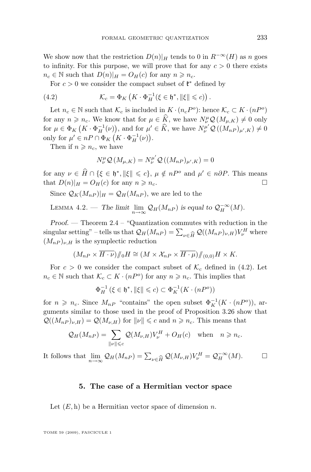We show now that the restriction  $D(n)|_H$  tends to 0 in  $R^{-\infty}(H)$  as n goes to infinity. For this purpose, we will prove that for any  $c > 0$  there exists  $n_c \in \mathbb{N}$  such that  $D(n)|_H = O_H(c)$  for any  $n \geq n_c$ .

For  $c > 0$  we consider the compact subset of  $\mathfrak{k}^*$  defined by

(4.2) 
$$
\mathcal{K}_c = \Phi_K \left( K \cdot \Phi_H^{-1} (\xi \in \mathfrak{h}^*, ||\xi|| \leqslant c) \right).
$$

Let  $n_c \in \mathbb{N}$  such that  $\mathcal{K}_c$  is included in  $K \cdot (n_c P^o)$ : hence  $\mathcal{K}_c \subset K \cdot (nP^o)$ for any  $n \geq n_c$ . We know that for  $\mu \in \widehat{K}$ , we have  $N^{\mu}_{\nu} \mathcal{Q}(M_{\mu,K}) \neq 0$  only for  $\mu \in \Phi_K$   $(K \cdot \Phi_H^{-1}(\nu))$ , and for  $\mu' \in \widehat{K}$ , we have  $N^{\mu'}_v \mathcal{Q}((M_{nP})_{\mu',K}) \neq 0$ only for  $\mu' \in nP \cap \Phi_K (K \cdot \Phi_H^{-1}(\nu)).$ 

Then if  $n \geqslant n_c$ , we have

$$
N^{\mu}_{\nu} \mathcal{Q} (M_{\mu,K}) = N^{\mu'}_{\nu} \mathcal{Q} ((M_{nP})_{\mu',K}) = 0
$$

for any  $\nu \in \widehat{H} \cap \{\xi \in \mathfrak{h}^*, \|\xi\| \leq c\}, \mu \notin nP^o$  and  $\mu' \in n\partial P$ . This means that  $D(n)|_H = O_H(c)$  for any  $n \geq n_c$ .

Since  $\mathcal{Q}_K(M_{nP})|_H = \mathcal{Q}_H(M_{nP})$ , we are led to the

LEMMA 4.2. – The limit 
$$
\lim_{n\to\infty} \mathcal{Q}_H(M_{nP})
$$
 is equal to  $\mathcal{Q}_H^{-\infty}(M)$ .

*Proof. —* Theorem [2.4](#page-9-0) – "Quantization commutes with reduction in the singular setting" – tells us that  $\mathcal{Q}_H(M_{nP}) = \sum_{\nu \in \widehat{H}} \mathcal{Q}((M_{nP})_{\nu,H}) V_{\nu}^H$  where  $(M_{nP})_{\nu,H}$  is the symplectic reduction  $(M_{nP})_{\nu,H}$  is the symplectic reduction

$$
(M_{nP} \times \overline{H \cdot \nu})/\!\!/_{0} H \cong (M \times \mathcal{X}_{nP} \times \overline{H \cdot \mu})/\!\!/_{(0,0)} H \times K.
$$

For  $c > 0$  we consider the compact subset of  $\mathcal{K}_c$  defined in (4.2). Let  $n_c \in \mathbb{N}$  such that  $\mathcal{K}_c \subset K \cdot (nP^o)$  for any  $n \geq n_c$ . This implies that

$$
\Phi_H^{-1}(\xi \in \mathfrak{h}^*, \|\xi\| \leqslant c) \subset \Phi_K^{-1}(K \cdot (nP^o))
$$

for  $n \geq n_c$ . Since  $M_{nP}$  "contains" the open subset  $\Phi_K^{-1}(K \cdot (nP^o))$ , arguments similar to those used in the proof of Proposition [3.26](#page-32-0) show that  $\mathcal{Q}((M_{nP})_{\nu,H}) = \mathcal{Q}(M_{\nu,H})$  for  $\|\nu\| \leq c$  and  $n \geq n_c$ . This means that

$$
\mathcal{Q}_H(M_{nP}) = \sum_{\|\nu\| \leq c} \mathcal{Q}(M_{\nu,H}) V_{\nu}^H + O_H(c) \quad \text{when} \quad n \geq n_c.
$$

It follows that  $\lim_{n \to \infty} \mathcal{Q}_H(M_{nP}) = \sum_{\nu \in \widehat{H}} \mathcal{Q}(M_{\nu,H}) V_{\nu}^H = \mathcal{Q}_H^{-\infty}(M).$ 

#### **5. The case of a Hermitian vector space**

Let  $(E, h)$  be a Hermitian vector space of dimension n.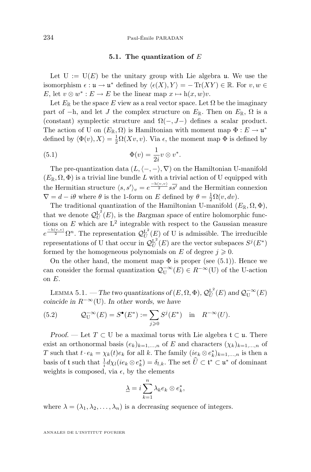#### **5.1. The quantization of** E

<span id="page-36-0"></span>Let  $U := U(E)$  be the unitary group with Lie algebra u. We use the isomorphism  $\epsilon : \mathfrak{u} \to \mathfrak{u}^*$  defined by  $\langle \epsilon(X), Y \rangle = - \text{Tr}(XY) \in \mathbb{R}$ . For  $v, w \in$ E, let  $v \otimes w^* : E \to E$  be the linear map  $x \mapsto h(x, w)v$ .

Let  $E_{\mathbb{R}}$  be the space E view as a real vector space. Let  $\Omega$  be the imaginary part of  $-h$ , and let J the complex structure on  $E_{\mathbb{R}}$ . Then on  $E_{\mathbb{R}}$ ,  $\Omega$  is a (constant) symplectic structure and  $\Omega(-, J-)$  defines a scalar product. The action of U on  $(E_{\mathbb{R}}, \Omega)$  is Hamiltonian with moment map  $\Phi : E \to \mathfrak{u}^*$ defined by  $\langle \Phi(v), X \rangle = \frac{1}{2} \Omega(Xv, v)$ . Via  $\epsilon$ , the moment map  $\Phi$  is defined by

(5.1) 
$$
\Phi(v) = \frac{1}{2i}v \otimes v^*.
$$

The pre-quantization data  $(L, \langle -, -\rangle, \nabla)$  on the Hamiltonian U-manifold  $(E_{\mathbb{R}}, \Omega, \Phi)$  is a trivial line bundle L with a trivial action of U equipped with the Hermitian structure  $\langle s, s' \rangle_v = e^{\frac{-h(v,v)}{2}} s \overline{s'}$  and the Hermitian connexion  $\nabla = d - i\theta$  where  $\theta$  is the 1-form on E defined by  $\theta = \frac{1}{2}\Omega(v, dv)$ .

The traditional quantization of the Hamiltonian U-manifold  $(E_{\mathbb{R}}, \Omega, \Phi)$ , that we denote  $Q_U^{L^2}(E)$ , is the *Bargman space* of entire holomorphic functions on  $E$  which are  $L^2$  integrable with respect to the Gaussian measure  $e^{-\frac{h(v,v)}{2}} \Omega^n$ . The representation  $\mathcal{Q}_U^{\mathbf{L}^2}(E)$  of U is admissible. The irreducible representations of U that occur in  $\mathcal{Q}_U^{\mathsf{L}^2}(E)$  are the vector subspaces  $S^j(E^*)$ formed by the homogeneous polynomials on E of degree  $j \geqslant 0$ .

On the other hand, the moment map  $\Phi$  is proper (see (5.1)). Hence we can consider the formal quantization  $\mathcal{Q}_{\mathbf{U}}^{-\infty}(E) \in R^{-\infty}(\mathbf{U})$  of the U-action on E.

LEMMA 5.1. — The two quantizations of  $(E, \Omega, \Phi)$ ,  $\mathcal{Q}_U^{\mathbb{L}^2}(E)$  and  $\mathcal{Q}_U^{-\infty}(E)$ *coincide in* R−∞(U)*. In other words, we have*

(5.2) 
$$
Q_U^{-\infty}(E) = S^{\bullet}(E^*) := \sum_{j \ge 0} S^j(E^*) \text{ in } R^{-\infty}(U).
$$

*Proof.* — Let  $T \subset U$  be a maximal torus with Lie algebra  $\mathfrak{t} \subset \mathfrak{u}$ . There exist an orthonormal basis  $(e_k)_{k=1,...,n}$  of E and characters  $(\chi_k)_{k=1,...,n}$  of T such that  $t \cdot e_k = \chi_k(t) e_k$  for all k. The family  $(ie_k \otimes e_k^*)_{k=1,\dots,n}$  is then a basis of t such that  $\frac{1}{i}d\chi_l(ie_k\otimes e_k^*)=\delta_{l,k}$ . The set  $\hat{U}\subset\mathfrak{t}^*\subset\mathfrak{u}^*$  of dominant weights is composed, via  $\epsilon$ , by the elements

$$
\underline{\lambda} = i \sum_{k=1}^{n} \lambda_k e_k \otimes e_k^*,
$$

where  $\lambda = (\lambda_1, \lambda_2, \dots, \lambda_n)$  is a *decreasing* sequence of integers.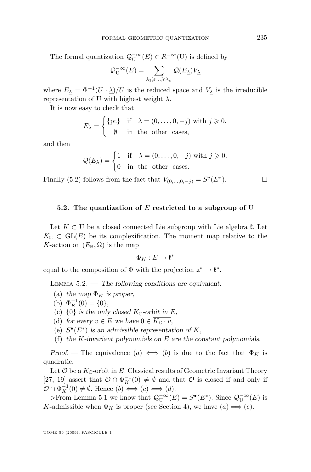The formal quantization  $\mathcal{Q}_{\mathbf{U}}^{-\infty}(E) \in R^{-\infty}(\mathbf{U})$  is defined by

$$
\mathcal{Q}_{\mathrm{U}}^{-\infty}(E)=\sum_{\lambda_1\geqslant\ldots\geqslant\lambda_n}\mathcal{Q}(E_{\underline{\lambda}})V_{\underline{\lambda}}
$$

where  $E_{\underline{\lambda}} = \Phi^{-1}(U \cdot \underline{\lambda})/U$  is the reduced space and  $V_{\underline{\lambda}}$  is the irreducible representation of U with highest weight  $\lambda$ .

It is now easy to check that

$$
E_{\underline{\lambda}} = \begin{cases} \{\text{pt}\} & \text{if } \lambda = (0, \dots, 0, -j) \text{ with } j \geq 0, \\ \emptyset & \text{in the other cases,} \end{cases}
$$

and then

$$
\mathcal{Q}(E_{\underline{\lambda}}) = \begin{cases} 1 & \text{if } \lambda = (0, \dots, 0, -j) \text{ with } j \geq 0, \\ 0 & \text{in the other cases.} \end{cases}
$$

Finally [\(5.2\)](#page-36-0) follows from the fact that  $V_{(0,\ldots,0,-j)} = S^{j}(E^*)$  $\Box$ 

#### **5.2. The quantization of** E **restricted to a subgroup of** U

Let  $K \subset U$  be a closed connected Lie subgroup with Lie algebra  $\mathfrak{k}$ . Let  $K_{\mathbb{C}} \subset GL(E)$  be its complexification. The moment map relative to the K-action on  $(E_{\mathbb{R}}, \Omega)$  is the map

$$
\Phi_K: E \to \mathfrak{k}^*
$$

equal to the composition of  $\Phi$  with the projection  $\mathfrak{u}^* \to \mathfrak{k}^*$ .

Lemma 5.2. — *The following conditions are equivalent:*

- (a) the map  $\Phi_K$  is proper,
- (b)  $\Phi_K^{-1}(0) = \{0\},\,$
- (c)  $\{0\}$  *is the only closed*  $K_{\mathbb{C}}$ -orbit in E,
- (d) for every  $v \in E$  we have  $0 \in \overline{K_{\mathbb{C}} \cdot v}$ ,
- (e)  $S^{\bullet}(E^*)$  *is an admissible representation of* K,
- (f) *the* K*-invariant polynomials on* E *are the constant polynomials.*

*Proof.* — The equivalence  $(a) \iff (b)$  is due to the fact that  $\Phi_K$  is quadratic.

Let  $\mathcal O$  be a  $K_{\mathbb C}$ -orbit in E. Classical results of Geometric Invariant Theory [\[27,](#page-39-0) [19\]](#page-39-0) assert that  $\overline{\mathcal{O}} \cap \Phi_K^{-1}(0) \neq \emptyset$  and that  $\mathcal O$  is closed if and only if  $\mathcal{O} \cap \Phi_K^{-1}(0) \neq \emptyset$ . Hence  $(b) \Longleftrightarrow (c) \Longleftrightarrow (d)$ .

>From Lemma [5.1](#page-36-0) we know that  $\mathcal{Q}_{\mathbf{U}}^{-\infty}(E) = S^{\bullet}(E^*)$ . Since  $\mathcal{Q}_{\mathbf{U}}^{-\infty}(E)$  is K-admissible when  $\Phi_K$  is proper (see Section [4\)](#page-34-0), we have  $(a) \Longrightarrow (e)$ .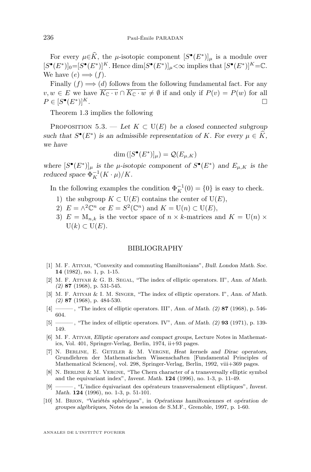<span id="page-38-0"></span>For every  $\mu \in \widehat{K}$ , the  $\mu$ -isotopic component  $[S^{\bullet}(E^*)]_{\mu}$  is a module over  $[S^{\bullet}(E^*)]_0 = [S^{\bullet}(E^*)]^K$ . Hence  $\dim[S^{\bullet}(E^*)]_{\mu} < \infty$  implies that  $[S^{\bullet}(E^*)]^K = \mathbb{C}$ . We have  $(e) \implies (f)$ .

Finally  $(f) \Longrightarrow (d)$  follows from the following fundamental fact. For any  $v, w \in E$  we have  $\overline{K_{\mathbb{C}} \cdot v} \cap \overline{K_{\mathbb{C}} \cdot w} \neq \emptyset$  if and only if  $P(v) = P(w)$  for all  $P \in [S^{\bullet}(E^*$  $)]^K.$ 

Theorem [1.3](#page-4-0) implies the following

PROPOSITION 5.3. — Let  $K \subset U(E)$  be a closed connected subgroup *such that*  $S^{\bullet}(E^*)$  *is an admissible representation of* K*. For every*  $\mu \in \hat{K}$ *, we have*

$$
\dim\left([S^{\bullet}(E^*)]_{\mu}\right) = \mathcal{Q}(E_{\mu,K})
$$

where  $[S^{\bullet}(E^*)]_{\mu}$  *is the*  $\mu$ *-isotopic component of*  $S^{\bullet}(E^*)$  *and*  $E_{\mu,K}$  *is the reduced space*  $\Phi_K^{-1}(K \cdot \mu)/K$ *.* 

In the following examples the condition  $\Phi_K^{-1}(0) = \{0\}$  is easy to check.

- 1) the subgroup  $K \subset U(E)$  contains the center of  $U(E)$ ,
- 2)  $E = \wedge^2 \mathbb{C}^n$  or  $E = S^2(\mathbb{C}^n)$  and  $K = U(n) \subset U(E)$ ,
- 3)  $E = M_{n,k}$  is the vector space of  $n \times k$ -matrices and  $K = U(n) \times$  $U(k) \subset U(E)$ .

#### BIBLIOGRAPHY

- [1] M. F. Atiyah, "Convexity and commuting Hamiltonians", *Bull. London Math. Soc.* **14** (1982), no. 1, p. 1-15.
- [2] M. F. Atiyah & G. B. Segal, "The index of elliptic operators. II", *Ann. of Math. (2)* **87** (1968), p. 531-545.
- [3] M. F. Atiyah & I. M. Singer, "The index of elliptic operators. I", *Ann. of Math. (2)* **87** (1968), p. 484-530.
- [4] ——— , "The index of elliptic operators. III", *Ann. of Math. (2)* **87** (1968), p. 546- 604.
- [5] ——— , "The index of elliptic operators. IV", *Ann. of Math. (2)* **93** (1971), p. 139- 149.
- [6] M. F. Atiyah, *Elliptic operators and compact groups*, Lecture Notes in Mathematics, Vol. 401, Springer-Verlag, Berlin, 1974, ii+93 pages.
- [7] N. Berline, E. Getzler & M. Vergne, *Heat kernels and Dirac operators*, Grundlehren der Mathematischen Wissenschaften [Fundamental Principles of Mathematical Sciences], vol. 298, Springer-Verlag, Berlin, 1992, viii+369 pages.
- [8] N. BERLINE & M. VERGNE, "The Chern character of a transversally elliptic symbol and the equivariant index", *Invent. Math.* **124** (1996), no. 1-3, p. 11-49.
- [9] ——— , "L'indice équivariant des opérateurs transversalement elliptiques", *Invent. Math.* **124** (1996), no. 1-3, p. 51-101.
- [10] M. Brion, "Variétés sphériques", in *Opérations hamiltoniennes et opération de groupes algébriques*, Notes de la session de S.M.F., Grenoble, 1997, p. 1-60.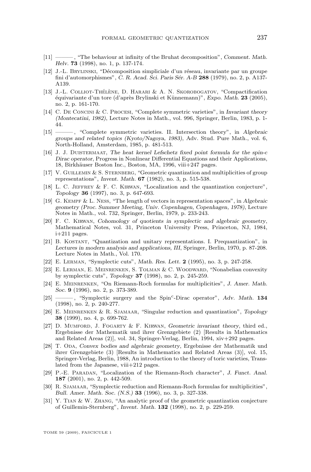- <span id="page-39-0"></span>[11] ——— , "The behaviour at infinity of the Bruhat decomposition", *Comment. Math. Helv.* **73** (1998), no. 1, p. 137-174.
- [12] J.-L. Brylinski, "Décomposition simpliciale d'un réseau, invariante par un groupe fini d'automorphismes", *C. R. Acad. Sci. Paris Sér. A-B* **288** (1979), no. 2, p. A137- A139.
- [13] J.-L. Colliot-Thélène, D. Harari & A. N. Skorobogatov, "Compactification équivariante d'un tore (d'après Brylinski et Künnemann)", *Expo. Math.* **23** (2005), no. 2, p. 161-170.
- [14] C. De Concini & C. Procesi, "Complete symmetric varieties", in *Invariant theory (Montecatini, 1982)*, Lecture Notes in Math., vol. 996, Springer, Berlin, 1983, p. 1- 44.
- [15] ——— , "Complete symmetric varieties. II. Intersection theory", in *Algebraic groups and related topics (Kyoto/Nagoya, 1983)*, Adv. Stud. Pure Math., vol. 6, North-Holland, Amsterdam, 1985, p. 481-513.
- [16] J. J. Duistermaat, *The heat kernel Lefschetz fixed point formula for the spin-*c *Dirac operator*, Progress in Nonlinear Differential Equations and their Applications, 18, Birkhäuser Boston Inc., Boston, MA, 1996, viii+247 pages.
- [17] V. Guillemin & S. Sternberg, "Geometric quantization and multiplicities of group representations", *Invent. Math.* **67** (1982), no. 3, p. 515-538.
- [18] L. C. Jeffrey & F. C. Kirwan, "Localization and the quantization conjecture", *Topology* **36** (1997), no. 3, p. 647-693.
- [19] G. Kempf & L. Ness, "The length of vectors in representation spaces", in *Algebraic geometry (Proc. Summer Meeting, Univ. Copenhagen, Copenhagen, 1978)*, Lecture Notes in Math., vol. 732, Springer, Berlin, 1979, p. 233-243.
- [20] F. C. Kirwan, *Cohomology of quotients in symplectic and algebraic geometry*, Mathematical Notes, vol. 31, Princeton University Press, Princeton, NJ, 1984, i+211 pages.
- [21] B. Kostant, "Quantization and unitary representations. I. Prequantization", in *Lectures in modern analysis and applications, III*, Springer, Berlin, 1970, p. 87-208. Lecture Notes in Math., Vol. 170.
- [22] E. Lerman, "Symplectic cuts", *Math. Res. Lett.* **2** (1995), no. 3, p. 247-258.
- [23] E. Lerman, E. Meinrenken, S. Tolman & C. Woodward, "Nonabelian convexity by symplectic cuts", *Topology* **37** (1998), no. 2, p. 245-259.
- [24] E. Meinrenken, "On Riemann-Roch formulas for multiplicities", *J. Amer. Math. Soc.* **9** (1996), no. 2, p. 373-389.
- [25] ——— , "Symplectic surgery and the Spin<sup>c</sup> -Dirac operator", *Adv. Math.* **134** (1998), no. 2, p. 240-277.
- [26] E. Meinrenken & R. Sjamaar, "Singular reduction and quantization", *Topology* **38** (1999), no. 4, p. 699-762.
- [27] D. Mumford, J. Fogarty & F. Kirwan, *Geometric invariant theory*, third ed., Ergebnisse der Mathematik und ihrer Grenzgebiete (2) [Results in Mathematics and Related Areas (2)], vol. 34, Springer-Verlag, Berlin, 1994, xiv+292 pages.
- [28] T. Oda, *Convex bodies and algebraic geometry*, Ergebnisse der Mathematik und ihrer Grenzgebiete (3) [Results in Mathematics and Related Areas (3)], vol. 15, Springer-Verlag, Berlin, 1988, An introduction to the theory of toric varieties, Translated from the Japanese, viii+212 pages.
- [29] P.-E. Paradan, "Localization of the Riemann-Roch character", *J. Funct. Anal.* **187** (2001), no. 2, p. 442-509.
- [30] R. Sjamaar, "Symplectic reduction and Riemann-Roch formulas for multiplicities", *Bull. Amer. Math. Soc. (N.S.)* **33** (1996), no. 3, p. 327-338.
- [31] Y. Tian & W. Zhang, "An analytic proof of the geometric quantization conjecture of Guillemin-Sternberg", *Invent. Math.* **132** (1998), no. 2, p. 229-259.